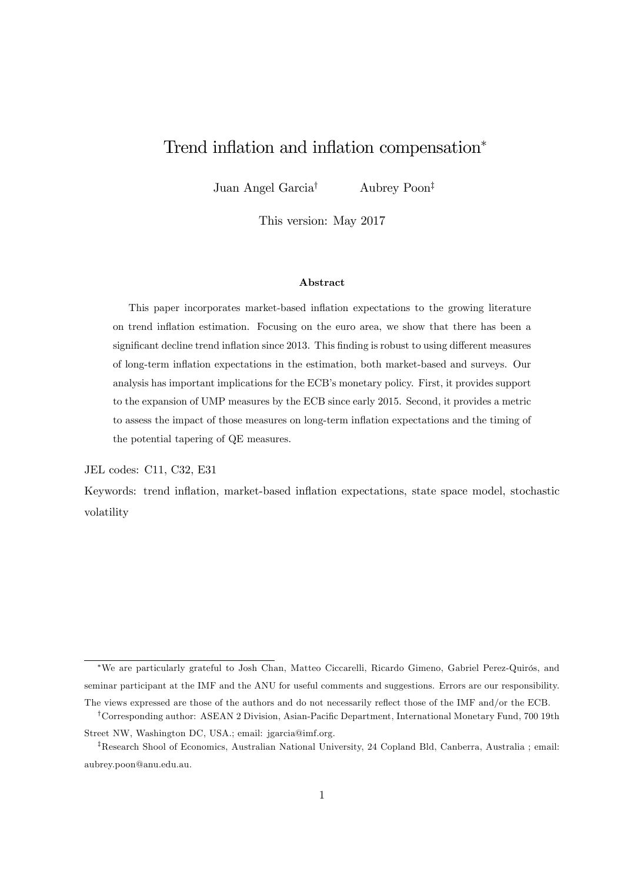# Trend inflation and inflation compensation<sup>\*</sup>

Juan Angel Garcia<sup>†</sup> Aubrey Poon<sup>‡</sup>

This version: May 2017

## Abstract

This paper incorporates market-based inflation expectations to the growing literature on trend ináation estimation. Focusing on the euro area, we show that there has been a significant decline trend inflation since 2013. This finding is robust to using different measures of long-term ináation expectations in the estimation, both market-based and surveys. Our analysis has important implications for the ECB's monetary policy. First, it provides support to the expansion of UMP measures by the ECB since early 2015. Second, it provides a metric to assess the impact of those measures on long-term ináation expectations and the timing of the potential tapering of QE measures.

JEL codes: C11, C32, E31

Keywords: trend inflation, market-based inflation expectations, state space model, stochastic volatility

<sup>\*</sup>We are particularly grateful to Josh Chan, Matteo Ciccarelli, Ricardo Gimeno, Gabriel Perez-Quirós, and seminar participant at the IMF and the ANU for useful comments and suggestions. Errors are our responsibility. The views expressed are those of the authors and do not necessarily reflect those of the IMF and/or the ECB.

<sup>&</sup>lt;sup>†</sup>Corresponding author: ASEAN 2 Division, Asian-Pacific Department, International Monetary Fund, 700 19th Street NW, Washington DC, USA.; email: jgarcia@imf.org.

<sup>&</sup>lt;sup>‡</sup>Research Shool of Economics, Australian National University, 24 Copland Bld, Canberra, Australia ; email: aubrey.poon@anu.edu.au.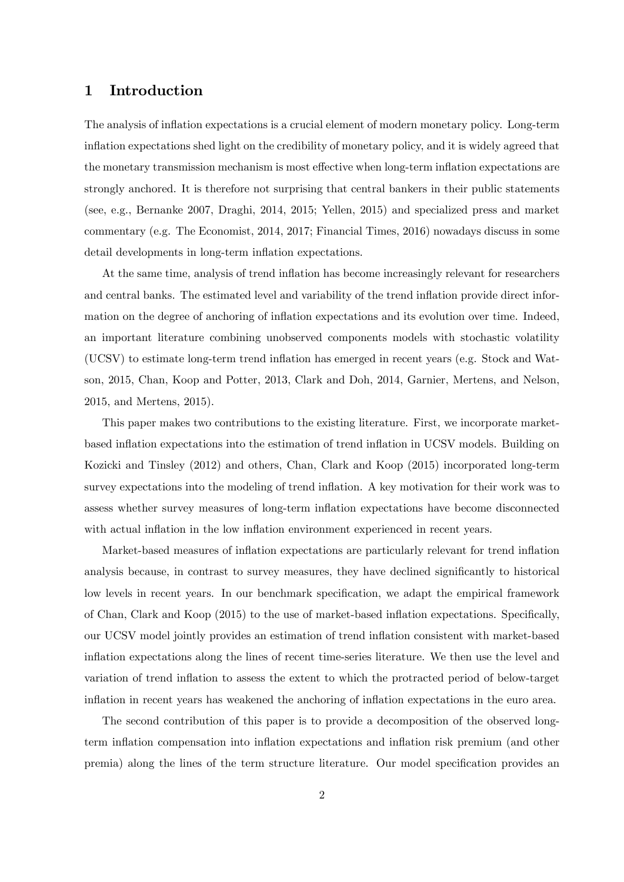# 1 Introduction

The analysis of inflation expectations is a crucial element of modern monetary policy. Long-term ináation expectations shed light on the credibility of monetary policy, and it is widely agreed that the monetary transmission mechanism is most effective when long-term inflation expectations are strongly anchored. It is therefore not surprising that central bankers in their public statements (see, e.g., Bernanke 2007, Draghi, 2014, 2015; Yellen, 2015) and specialized press and market commentary (e.g. The Economist, 2014, 2017; Financial Times, 2016) nowadays discuss in some detail developments in long-term inflation expectations.

At the same time, analysis of trend inflation has become increasingly relevant for researchers and central banks. The estimated level and variability of the trend inflation provide direct information on the degree of anchoring of inflation expectations and its evolution over time. Indeed, an important literature combining unobserved components models with stochastic volatility (UCSV) to estimate long-term trend ináation has emerged in recent years (e.g. Stock and Watson, 2015, Chan, Koop and Potter, 2013, Clark and Doh, 2014, Garnier, Mertens, and Nelson, 2015, and Mertens, 2015).

This paper makes two contributions to the existing literature. First, we incorporate marketbased inflation expectations into the estimation of trend inflation in UCSV models. Building on Kozicki and Tinsley (2012) and others, Chan, Clark and Koop (2015) incorporated long-term survey expectations into the modeling of trend inflation. A key motivation for their work was to assess whether survey measures of long-term ináation expectations have become disconnected with actual inflation in the low inflation environment experienced in recent years.

Market-based measures of inflation expectations are particularly relevant for trend inflation analysis because, in contrast to survey measures, they have declined significantly to historical low levels in recent years. In our benchmark specification, we adapt the empirical framework of Chan, Clark and Koop  $(2015)$  to the use of market-based inflation expectations. Specifically, our UCSV model jointly provides an estimation of trend ináation consistent with market-based inflation expectations along the lines of recent time-series literature. We then use the level and variation of trend ináation to assess the extent to which the protracted period of below-target inflation in recent years has weakened the anchoring of inflation expectations in the euro area.

The second contribution of this paper is to provide a decomposition of the observed longterm ináation compensation into ináation expectations and ináation risk premium (and other premia) along the lines of the term structure literature. Our model specification provides an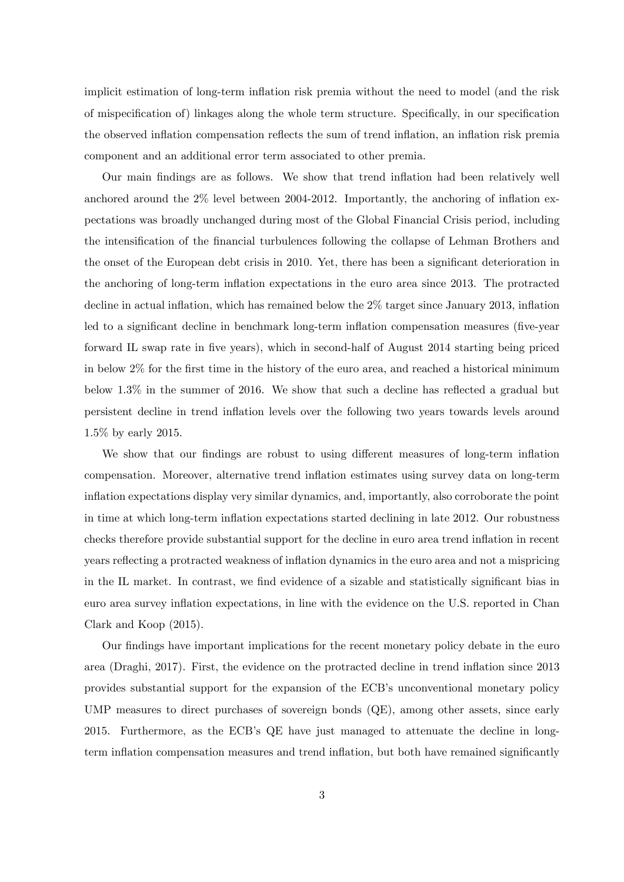implicit estimation of long-term inflation risk premia without the need to model (and the risk of mispecification of) linkages along the whole term structure. Specifically, in our specification the observed inflation compensation reflects the sum of trend inflation, an inflation risk premia component and an additional error term associated to other premia.

Our main findings are as follows. We show that trend inflation had been relatively well anchored around the  $2\%$  level between 2004-2012. Importantly, the anchoring of inflation expectations was broadly unchanged during most of the Global Financial Crisis period, including the intensification of the financial turbulences following the collapse of Lehman Brothers and the onset of the European debt crisis in 2010. Yet, there has been a significant deterioration in the anchoring of long-term ináation expectations in the euro area since 2013. The protracted decline in actual inflation, which has remained below the  $2\%$  target since January 2013, inflation led to a significant decline in benchmark long-term inflation compensation measures (five-year forward IL swap rate in Öve years), which in second-half of August 2014 starting being priced in below  $2\%$  for the first time in the history of the euro area, and reached a historical minimum below  $1.3\%$  in the summer of 2016. We show that such a decline has reflected a gradual but persistent decline in trend ináation levels over the following two years towards levels around 1.5% by early 2015.

We show that our findings are robust to using different measures of long-term inflation compensation. Moreover, alternative trend ináation estimates using survey data on long-term ináation expectations display very similar dynamics, and, importantly, also corroborate the point in time at which long-term ináation expectations started declining in late 2012. Our robustness checks therefore provide substantial support for the decline in euro area trend inflation in recent years reflecting a protracted weakness of inflation dynamics in the euro area and not a mispricing in the IL market. In contrast, we find evidence of a sizable and statistically significant bias in euro area survey inflation expectations, in line with the evidence on the U.S. reported in Chan Clark and Koop (2015).

Our findings have important implications for the recent monetary policy debate in the euro area (Draghi, 2017). First, the evidence on the protracted decline in trend inflation since 2013 provides substantial support for the expansion of the ECB's unconventional monetary policy UMP measures to direct purchases of sovereign bonds (QE), among other assets, since early 2015. Furthermore, as the ECBís QE have just managed to attenuate the decline in longterm inflation compensation measures and trend inflation, but both have remained significantly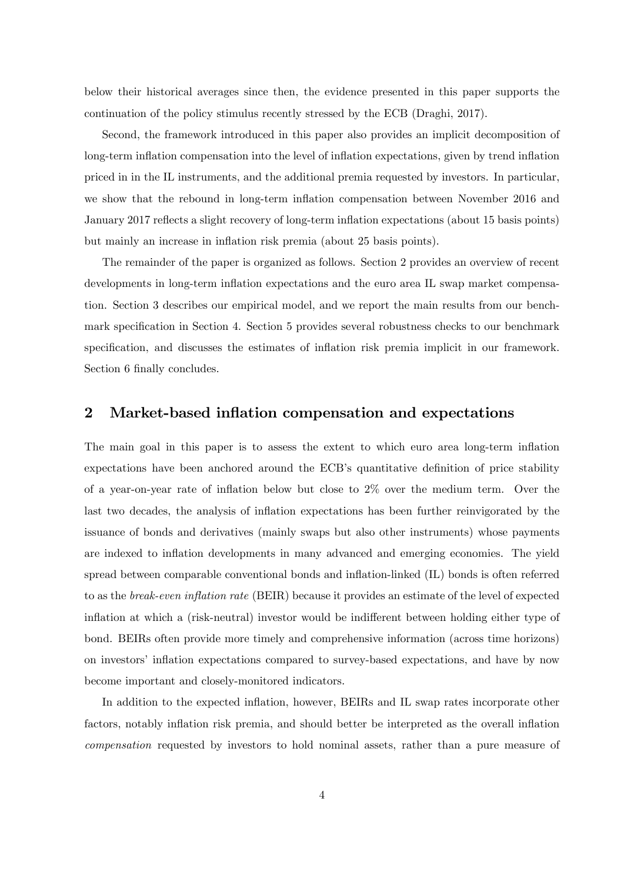below their historical averages since then, the evidence presented in this paper supports the continuation of the policy stimulus recently stressed by the ECB (Draghi, 2017).

Second, the framework introduced in this paper also provides an implicit decomposition of long-term inflation compensation into the level of inflation expectations, given by trend inflation priced in in the IL instruments, and the additional premia requested by investors. In particular, we show that the rebound in long-term inflation compensation between November 2016 and January 2017 reflects a slight recovery of long-term inflation expectations (about 15 basis points) but mainly an increase in inflation risk premia (about 25 basis points).

The remainder of the paper is organized as follows. Section 2 provides an overview of recent developments in long-term inflation expectations and the euro area IL swap market compensation. Section 3 describes our empirical model, and we report the main results from our benchmark specification in Section 4. Section 5 provides several robustness checks to our benchmark specification, and discusses the estimates of inflation risk premia implicit in our framework. Section 6 finally concludes.

# 2 Market-based inflation compensation and expectations

The main goal in this paper is to assess the extent to which euro area long-term inflation expectations have been anchored around the ECB's quantitative definition of price stability of a year-on-year rate of inflation below but close to  $2\%$  over the medium term. Over the last two decades, the analysis of ináation expectations has been further reinvigorated by the issuance of bonds and derivatives (mainly swaps but also other instruments) whose payments are indexed to inflation developments in many advanced and emerging economies. The yield spread between comparable conventional bonds and inflation-linked (IL) bonds is often referred to as the *break-even inflation rate* (BEIR) because it provides an estimate of the level of expected inflation at which a (risk-neutral) investor would be indifferent between holding either type of bond. BEIRs often provide more timely and comprehensive information (across time horizons) on investors' inflation expectations compared to survey-based expectations, and have by now become important and closely-monitored indicators.

In addition to the expected inflation, however, BEIRs and IL swap rates incorporate other factors, notably inflation risk premia, and should better be interpreted as the overall inflation compensation requested by investors to hold nominal assets, rather than a pure measure of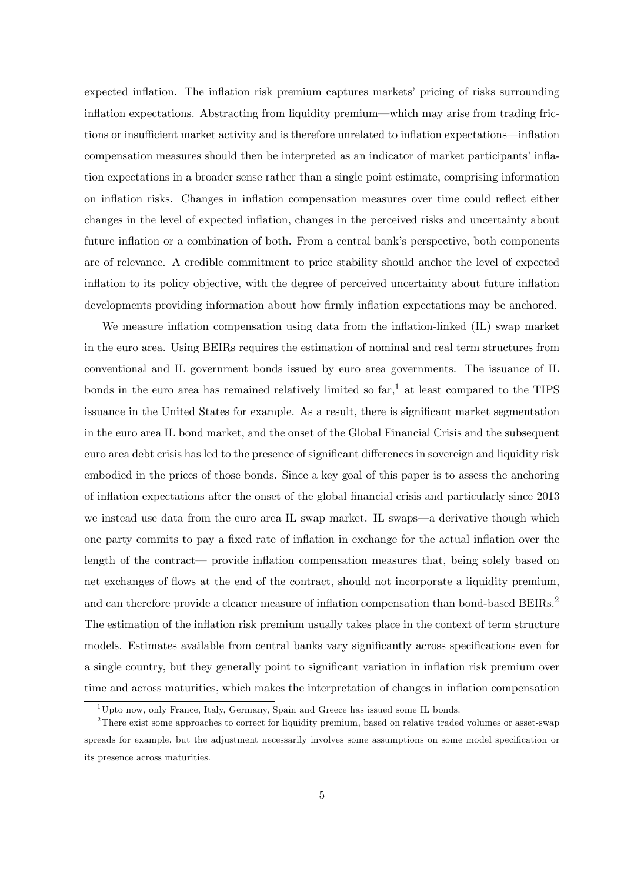expected inflation. The inflation risk premium captures markets' pricing of risks surrounding inflation expectations. Abstracting from liquidity premium—which may arise from trading frictions or insufficient market activity and is therefore unrelated to inflation expectations—inflation compensation measures should then be interpreted as an indicator of market participants' inflation expectations in a broader sense rather than a single point estimate, comprising information on inflation risks. Changes in inflation compensation measures over time could reflect either changes in the level of expected ináation, changes in the perceived risks and uncertainty about future inflation or a combination of both. From a central bank's perspective, both components are of relevance. A credible commitment to price stability should anchor the level of expected inflation to its policy objective, with the degree of perceived uncertainty about future inflation developments providing information about how firmly inflation expectations may be anchored.

We measure inflation compensation using data from the inflation-linked (IL) swap market in the euro area. Using BEIRs requires the estimation of nominal and real term structures from conventional and IL government bonds issued by euro area governments. The issuance of IL bonds in the euro area has remained relatively limited so  $far<sup>1</sup>$ , at least compared to the TIPS issuance in the United States for example. As a result, there is significant market segmentation in the euro area IL bond market, and the onset of the Global Financial Crisis and the subsequent euro area debt crisis has led to the presence of significant differences in sovereign and liquidity risk embodied in the prices of those bonds. Since a key goal of this paper is to assess the anchoring of ináation expectations after the onset of the global Önancial crisis and particularly since 2013 we instead use data from the euro area IL swap market. IL swaps—a derivative though which one party commits to pay a fixed rate of inflation in exchange for the actual inflation over the length of the contract— provide inflation compensation measures that, being solely based on net exchanges of flows at the end of the contract, should not incorporate a liquidity premium, and can therefore provide a cleaner measure of inflation compensation than bond-based BEIRs.<sup>2</sup> The estimation of the inflation risk premium usually takes place in the context of term structure models. Estimates available from central banks vary significantly across specifications even for a single country, but they generally point to significant variation in inflation risk premium over time and across maturities, which makes the interpretation of changes in inflation compensation

 $1$ Upto now, only France, Italy, Germany, Spain and Greece has issued some IL bonds.

<sup>&</sup>lt;sup>2</sup>There exist some approaches to correct for liquidity premium, based on relative traded volumes or asset-swap spreads for example, but the adjustment necessarily involves some assumptions on some model specification or its presence across maturities.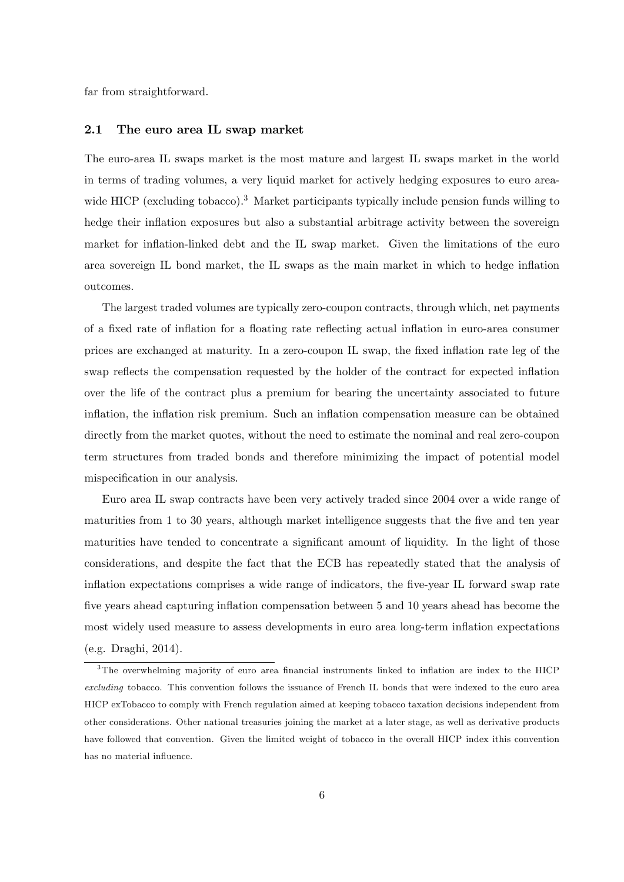far from straightforward.

#### 2.1 The euro area IL swap market

The euro-area IL swaps market is the most mature and largest IL swaps market in the world in terms of trading volumes, a very liquid market for actively hedging exposures to euro areawide HICP (excluding tobacco).<sup>3</sup> Market participants typically include pension funds willing to hedge their inflation exposures but also a substantial arbitrage activity between the sovereign market for inflation-linked debt and the IL swap market. Given the limitations of the euro area sovereign IL bond market, the IL swaps as the main market in which to hedge inflation outcomes.

The largest traded volumes are typically zero-coupon contracts, through which, net payments of a fixed rate of inflation for a floating rate reflecting actual inflation in euro-area consumer prices are exchanged at maturity. In a zero-coupon IL swap, the fixed inflation rate leg of the swap reflects the compensation requested by the holder of the contract for expected inflation over the life of the contract plus a premium for bearing the uncertainty associated to future inflation, the inflation risk premium. Such an inflation compensation measure can be obtained directly from the market quotes, without the need to estimate the nominal and real zero-coupon term structures from traded bonds and therefore minimizing the impact of potential model mispecification in our analysis.

Euro area IL swap contracts have been very actively traded since 2004 over a wide range of maturities from 1 to 30 years, although market intelligence suggests that the five and ten year maturities have tended to concentrate a significant amount of liquidity. In the light of those considerations, and despite the fact that the ECB has repeatedly stated that the analysis of inflation expectations comprises a wide range of indicators, the five-year IL forward swap rate five years ahead capturing inflation compensation between 5 and 10 years ahead has become the most widely used measure to assess developments in euro area long-term inflation expectations (e.g. Draghi, 2014).

<sup>&</sup>lt;sup>3</sup>The overwhelming majority of euro area financial instruments linked to inflation are index to the HICP excluding tobacco. This convention follows the issuance of French IL bonds that were indexed to the euro area HICP exTobacco to comply with French regulation aimed at keeping tobacco taxation decisions independent from other considerations. Other national treasuries joining the market at a later stage, as well as derivative products have followed that convention. Given the limited weight of tobacco in the overall HICP index ithis convention has no material influence.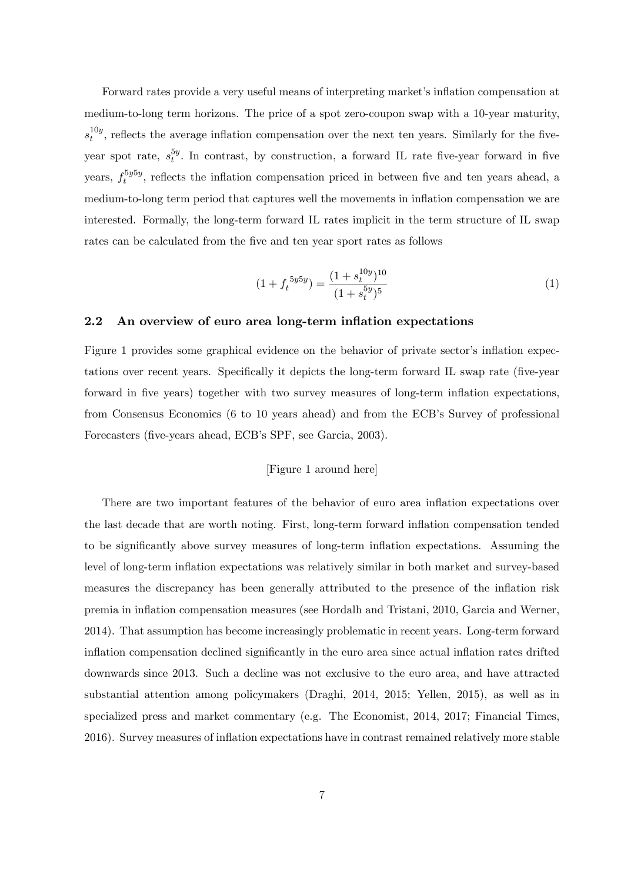Forward rates provide a very useful means of interpreting market's inflation compensation at medium-to-long term horizons. The price of a spot zero-coupon swap with a 10-year maturity,  $s_t^{10y}$  $t^{10g}$ , reflects the average inflation compensation over the next ten years. Similarly for the fiveyear spot rate,  $s_t^{5y}$  $t<sup>y</sup>$ . In contrast, by construction, a forward IL rate five-year forward in five years,  $f_t^{5y5y}$  $t<sub>t</sub><sup>9999</sup>$ , reflects the inflation compensation priced in between five and ten years ahead, a medium-to-long term period that captures well the movements in inflation compensation we are interested. Formally, the long-term forward IL rates implicit in the term structure of IL swap rates can be calculated from the five and ten year sport rates as follows

$$
(1 + f_t^{5y5y}) = \frac{(1 + s_t^{10y})^{10}}{(1 + s_t^{5y})^5}
$$
 (1)

## 2.2 An overview of euro area long-term inflation expectations

Figure 1 provides some graphical evidence on the behavior of private sector's inflation expectations over recent years. Specifically it depicts the long-term forward IL swap rate (five-year forward in five years) together with two survey measures of long-term inflation expectations, from Consensus Economics (6 to 10 years ahead) and from the ECB's Survey of professional Forecasters (five-years ahead, ECB's SPF, see Garcia, 2003).

### [Figure 1 around here]

There are two important features of the behavior of euro area inflation expectations over the last decade that are worth noting. First, long-term forward ináation compensation tended to be significantly above survey measures of long-term inflation expectations. Assuming the level of long-term inflation expectations was relatively similar in both market and survey-based measures the discrepancy has been generally attributed to the presence of the inflation risk premia in ináation compensation measures (see Hordalh and Tristani, 2010, Garcia and Werner, 2014). That assumption has become increasingly problematic in recent years. Long-term forward inflation compensation declined significantly in the euro area since actual inflation rates drifted downwards since 2013. Such a decline was not exclusive to the euro area, and have attracted substantial attention among policymakers (Draghi, 2014, 2015; Yellen, 2015), as well as in specialized press and market commentary (e.g. The Economist, 2014, 2017; Financial Times, 2016). Survey measures of inflation expectations have in contrast remained relatively more stable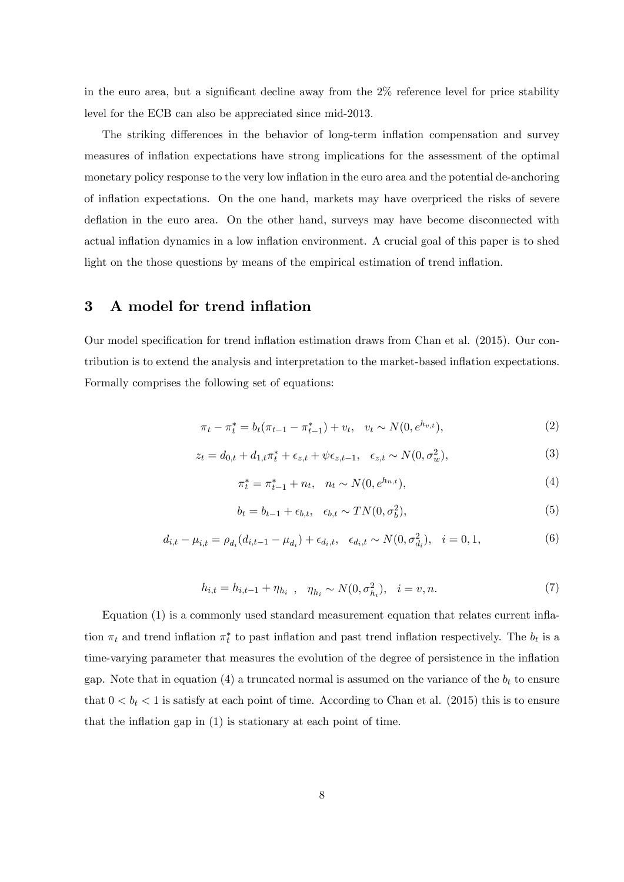in the euro area, but a significant decline away from the  $2\%$  reference level for price stability level for the ECB can also be appreciated since mid-2013.

The striking differences in the behavior of long-term inflation compensation and survey measures of inflation expectations have strong implications for the assessment of the optimal monetary policy response to the very low inflation in the euro area and the potential de-anchoring of inflation expectations. On the one hand, markets may have overpriced the risks of severe deflation in the euro area. On the other hand, surveys may have become disconnected with actual inflation dynamics in a low inflation environment. A crucial goal of this paper is to shed light on the those questions by means of the empirical estimation of trend ináation.

# 3 A model for trend inflation

Our model specification for trend inflation estimation draws from Chan et al. (2015). Our contribution is to extend the analysis and interpretation to the market-based ináation expectations. Formally comprises the following set of equations:

$$
\pi_t - \pi_t^* = b_t(\pi_{t-1} - \pi_{t-1}^*) + v_t, \quad v_t \sim N(0, e^{h_{v,t}}),
$$
\n(2)

$$
z_t = d_{0,t} + d_{1,t}\pi_t^* + \epsilon_{z,t} + \psi \epsilon_{z,t-1}, \quad \epsilon_{z,t} \sim N(0, \sigma_w^2), \tag{3}
$$

$$
\pi_t^* = \pi_{t-1}^* + n_t, \quad n_t \sim N(0, e^{h_{n,t}}), \tag{4}
$$

$$
b_t = b_{t-1} + \epsilon_{b,t}, \quad \epsilon_{b,t} \sim TN(0, \sigma_b^2), \tag{5}
$$

$$
d_{i,t} - \mu_{i,t} = \rho_{d_i}(d_{i,t-1} - \mu_{d_i}) + \epsilon_{d_i,t}, \quad \epsilon_{d_i,t} \sim N(0, \sigma_{d_i}^2), \quad i = 0, 1,
$$
 (6)

$$
h_{i,t} = h_{i,t-1} + \eta_{h_i} \ , \quad \eta_{h_i} \sim N(0, \sigma_{h_i}^2), \quad i = v, n. \tag{7}
$$

Equation (1) is a commonly used standard measurement equation that relates current ináation  $\pi_t$  and trend inflation  $\pi_t^*$  to past inflation and past trend inflation respectively. The  $b_t$  is a time-varying parameter that measures the evolution of the degree of persistence in the inflation gap. Note that in equation (4) a truncated normal is assumed on the variance of the  $b_t$  to ensure that  $0 < b_t < 1$  is satisfy at each point of time. According to Chan et al. (2015) this is to ensure that the inflation gap in  $(1)$  is stationary at each point of time.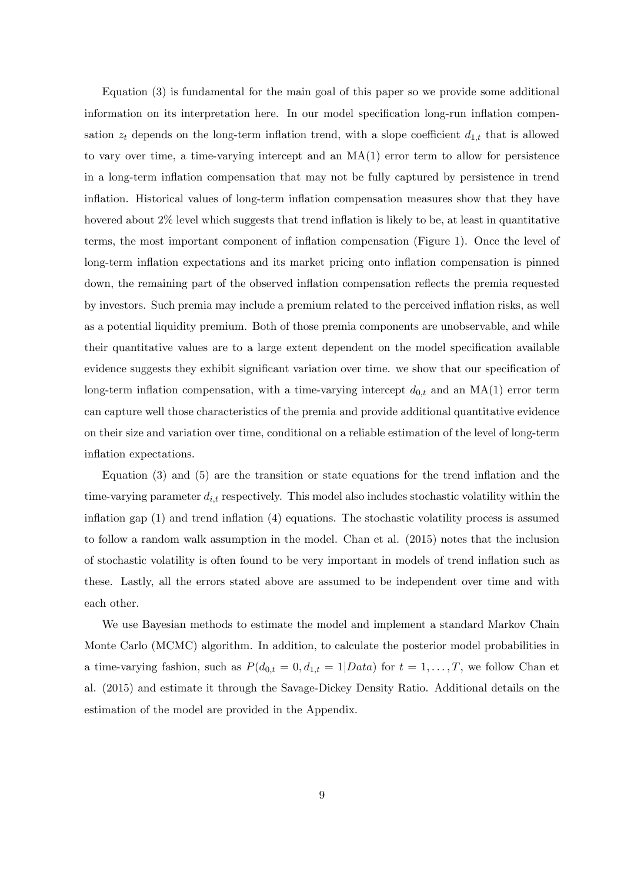Equation (3) is fundamental for the main goal of this paper so we provide some additional information on its interpretation here. In our model specification long-run inflation compensation  $z_t$  depends on the long-term inflation trend, with a slope coefficient  $d_{1,t}$  that is allowed to vary over time, a time-varying intercept and an MA(1) error term to allow for persistence in a long-term inflation compensation that may not be fully captured by persistence in trend inflation. Historical values of long-term inflation compensation measures show that they have hovered about 2% level which suggests that trend inflation is likely to be, at least in quantitative terms, the most important component of ináation compensation (Figure 1). Once the level of long-term inflation expectations and its market pricing onto inflation compensation is pinned down, the remaining part of the observed inflation compensation reflects the premia requested by investors. Such premia may include a premium related to the perceived ináation risks, as well as a potential liquidity premium. Both of those premia components are unobservable, and while their quantitative values are to a large extent dependent on the model specification available evidence suggests they exhibit significant variation over time. we show that our specification of long-term inflation compensation, with a time-varying intercept  $d_{0,t}$  and an MA(1) error term can capture well those characteristics of the premia and provide additional quantitative evidence on their size and variation over time, conditional on a reliable estimation of the level of long-term inflation expectations.

Equation  $(3)$  and  $(5)$  are the transition or state equations for the trend inflation and the time-varying parameter  $d_{i,t}$  respectively. This model also includes stochastic volatility within the inflation gap  $(1)$  and trend inflation  $(4)$  equations. The stochastic volatility process is assumed to follow a random walk assumption in the model. Chan et al. (2015) notes that the inclusion of stochastic volatility is often found to be very important in models of trend ináation such as these. Lastly, all the errors stated above are assumed to be independent over time and with each other.

We use Bayesian methods to estimate the model and implement a standard Markov Chain Monte Carlo (MCMC) algorithm. In addition, to calculate the posterior model probabilities in a time-varying fashion, such as  $P(d_{0,t} = 0, d_{1,t} = 1 | Data)$  for  $t = 1, \ldots, T$ , we follow Chan et al. (2015) and estimate it through the Savage-Dickey Density Ratio. Additional details on the estimation of the model are provided in the Appendix.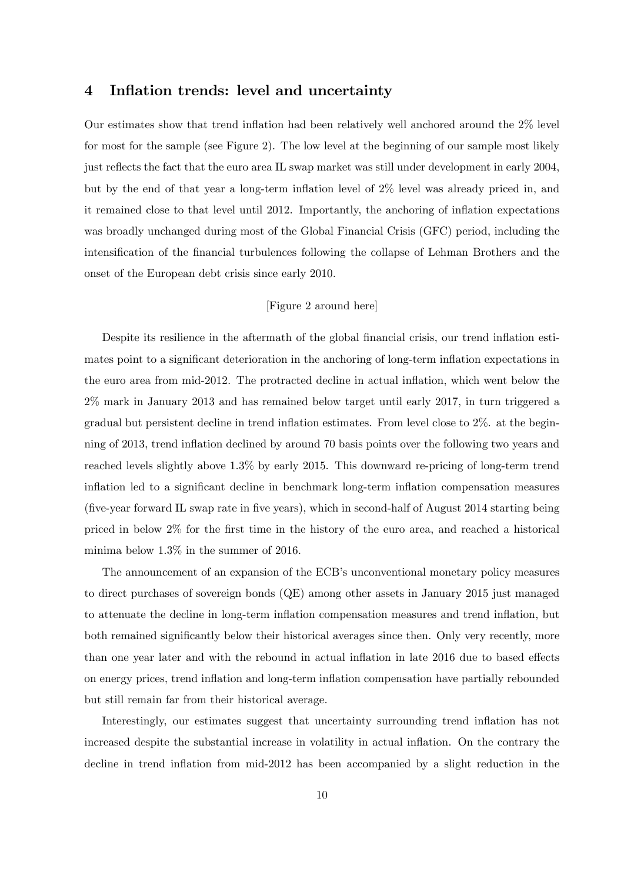## 4 Inflation trends: level and uncertainty

Our estimates show that trend ináation had been relatively well anchored around the 2% level for most for the sample (see Figure 2). The low level at the beginning of our sample most likely just reflects the fact that the euro area IL swap market was still under development in early 2004, but by the end of that year a long-term inflation level of  $2\%$  level was already priced in, and it remained close to that level until 2012. Importantly, the anchoring of inflation expectations was broadly unchanged during most of the Global Financial Crisis (GFC) period, including the intensification of the financial turbulences following the collapse of Lehman Brothers and the onset of the European debt crisis since early 2010.

## [Figure 2 around here]

Despite its resilience in the aftermath of the global financial crisis, our trend inflation estimates point to a significant deterioration in the anchoring of long-term inflation expectations in the euro area from mid-2012. The protracted decline in actual ináation, which went below the 2% mark in January 2013 and has remained below target until early 2017, in turn triggered a gradual but persistent decline in trend inflation estimates. From level close to  $2\%$ , at the beginning of 2013, trend ináation declined by around 70 basis points over the following two years and reached levels slightly above 1.3% by early 2015. This downward re-pricing of long-term trend inflation led to a significant decline in benchmark long-term inflation compensation measures (Öve-year forward IL swap rate in Öve years), which in second-half of August 2014 starting being priced in below  $2\%$  for the first time in the history of the euro area, and reached a historical minima below 1.3% in the summer of 2016.

The announcement of an expansion of the ECB's unconventional monetary policy measures to direct purchases of sovereign bonds (QE) among other assets in January 2015 just managed to attenuate the decline in long-term ináation compensation measures and trend ináation, but both remained significantly below their historical averages since then. Only very recently, more than one year later and with the rebound in actual inflation in late 2016 due to based effects on energy prices, trend ináation and long-term ináation compensation have partially rebounded but still remain far from their historical average.

Interestingly, our estimates suggest that uncertainty surrounding trend inflation has not increased despite the substantial increase in volatility in actual inflation. On the contrary the decline in trend inflation from mid-2012 has been accompanied by a slight reduction in the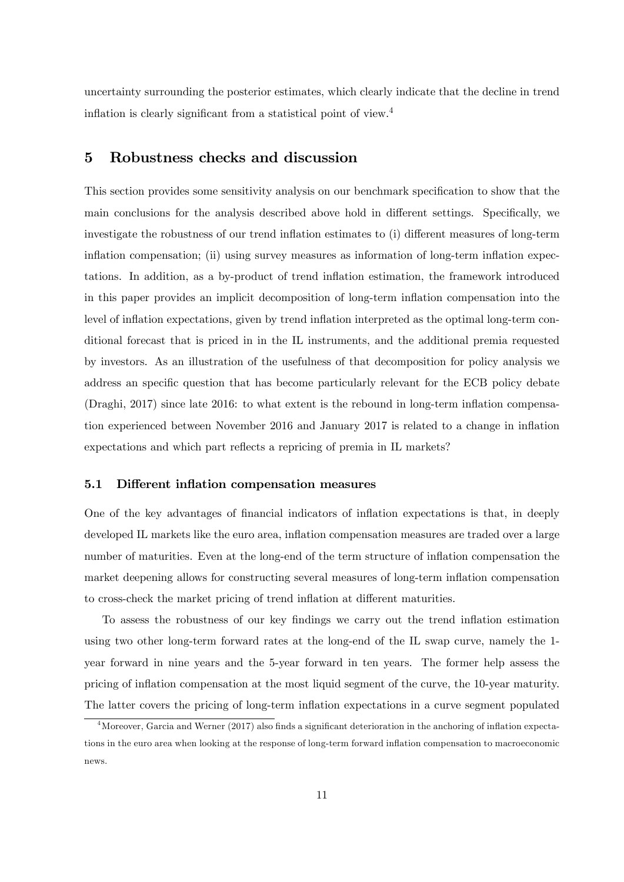uncertainty surrounding the posterior estimates, which clearly indicate that the decline in trend inflation is clearly significant from a statistical point of view. $4$ 

# 5 Robustness checks and discussion

This section provides some sensitivity analysis on our benchmark specification to show that the main conclusions for the analysis described above hold in different settings. Specifically, we investigate the robustness of our trend inflation estimates to (i) different measures of long-term inflation compensation; (ii) using survey measures as information of long-term inflation expectations. In addition, as a by-product of trend inflation estimation, the framework introduced in this paper provides an implicit decomposition of long-term inflation compensation into the level of inflation expectations, given by trend inflation interpreted as the optimal long-term conditional forecast that is priced in in the IL instruments, and the additional premia requested by investors. As an illustration of the usefulness of that decomposition for policy analysis we address an specific question that has become particularly relevant for the ECB policy debate (Draghi, 2017) since late 2016: to what extent is the rebound in long-term ináation compensation experienced between November 2016 and January 2017 is related to a change in inflation expectations and which part reflects a repricing of premia in IL markets?

#### 5.1 Different inflation compensation measures

One of the key advantages of financial indicators of inflation expectations is that, in deeply developed IL markets like the euro area, inflation compensation measures are traded over a large number of maturities. Even at the long-end of the term structure of inflation compensation the market deepening allows for constructing several measures of long-term inflation compensation to cross-check the market pricing of trend inflation at different maturities.

To assess the robustness of our key findings we carry out the trend inflation estimation using two other long-term forward rates at the long-end of the IL swap curve, namely the 1 year forward in nine years and the 5-year forward in ten years. The former help assess the pricing of ináation compensation at the most liquid segment of the curve, the 10-year maturity. The latter covers the pricing of long-term ináation expectations in a curve segment populated

 $4$ Moreover, Garcia and Werner (2017) also finds a significant deterioration in the anchoring of inflation expectations in the euro area when looking at the response of long-term forward ináation compensation to macroeconomic news.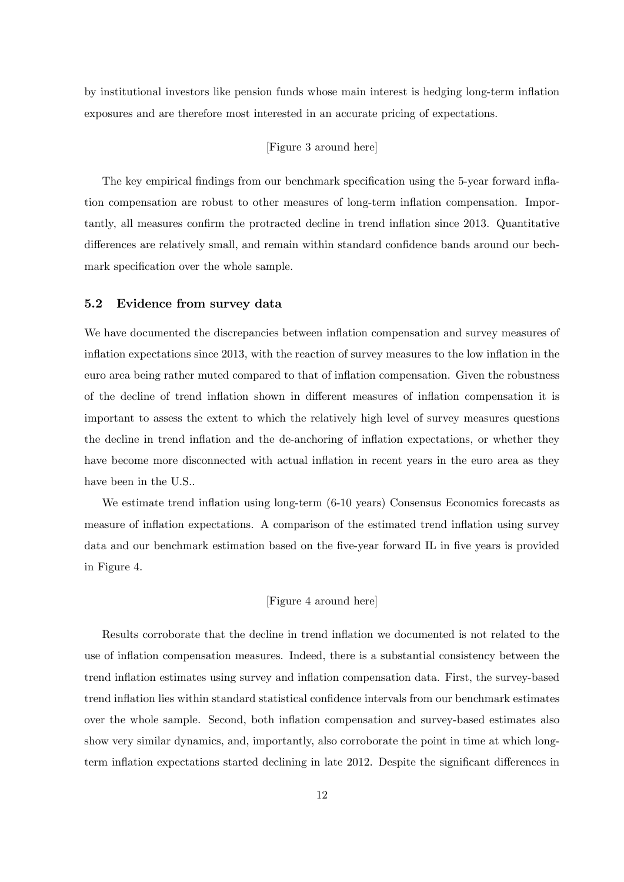by institutional investors like pension funds whose main interest is hedging long-term inflation exposures and are therefore most interested in an accurate pricing of expectations.

## [Figure 3 around here]

The key empirical findings from our benchmark specification using the 5-year forward inflation compensation are robust to other measures of long-term inflation compensation. Importantly, all measures confirm the protracted decline in trend inflation since 2013. Quantitative differences are relatively small, and remain within standard confidence bands around our bechmark specification over the whole sample.

## 5.2 Evidence from survey data

We have documented the discrepancies between inflation compensation and survey measures of inflation expectations since 2013, with the reaction of survey measures to the low inflation in the euro area being rather muted compared to that of inflation compensation. Given the robustness of the decline of trend inflation shown in different measures of inflation compensation it is important to assess the extent to which the relatively high level of survey measures questions the decline in trend inflation and the de-anchoring of inflation expectations, or whether they have become more disconnected with actual inflation in recent years in the euro area as they have been in the U.S..

We estimate trend inflation using long-term  $(6-10 \text{ years})$  Consensus Economics forecasts as measure of inflation expectations. A comparison of the estimated trend inflation using survey data and our benchmark estimation based on the five-year forward IL in five years is provided in Figure 4.

## [Figure 4 around here]

Results corroborate that the decline in trend inflation we documented is not related to the use of inflation compensation measures. Indeed, there is a substantial consistency between the trend ináation estimates using survey and ináation compensation data. First, the survey-based trend inflation lies within standard statistical confidence intervals from our benchmark estimates over the whole sample. Second, both ináation compensation and survey-based estimates also show very similar dynamics, and, importantly, also corroborate the point in time at which longterm inflation expectations started declining in late 2012. Despite the significant differences in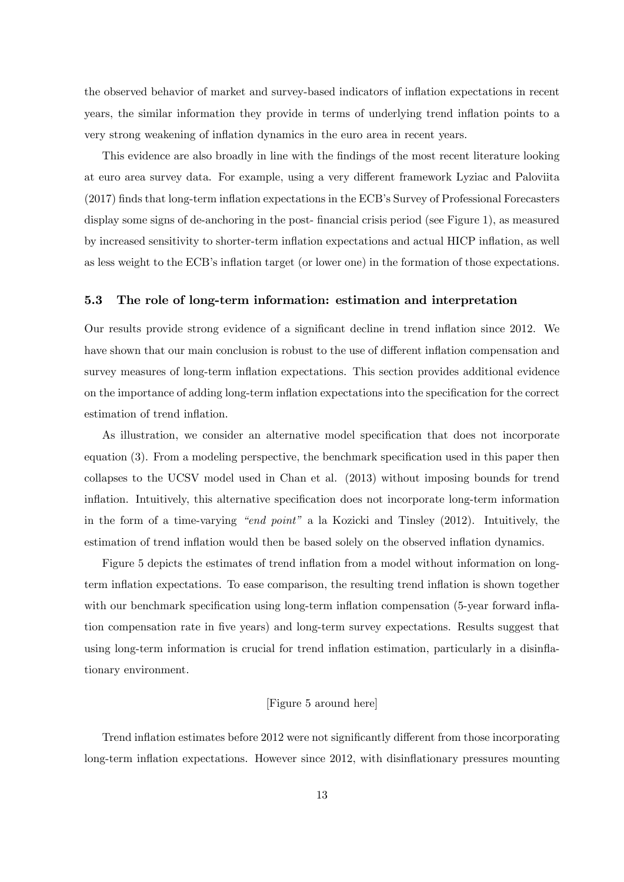the observed behavior of market and survey-based indicators of ináation expectations in recent years, the similar information they provide in terms of underlying trend inflation points to a very strong weakening of ináation dynamics in the euro area in recent years.

This evidence are also broadly in line with the findings of the most recent literature looking at euro area survey data. For example, using a very different framework Lyziac and Paloviita (2017) finds that long-term inflation expectations in the ECB's Survey of Professional Forecasters display some signs of de-anchoring in the post-financial crisis period (see Figure 1), as measured by increased sensitivity to shorter-term inflation expectations and actual HICP inflation, as well as less weight to the ECB's inflation target (or lower one) in the formation of those expectations.

### 5.3 The role of long-term information: estimation and interpretation

Our results provide strong evidence of a significant decline in trend inflation since 2012. We have shown that our main conclusion is robust to the use of different inflation compensation and survey measures of long-term inflation expectations. This section provides additional evidence on the importance of adding long-term inflation expectations into the specification for the correct estimation of trend inflation.

As illustration, we consider an alternative model specification that does not incorporate equation (3). From a modeling perspective, the benchmark specification used in this paper then collapses to the UCSV model used in Chan et al. (2013) without imposing bounds for trend inflation. Intuitively, this alternative specification does not incorporate long-term information in the form of a time-varying "end point" a la Kozicki and Tinsley  $(2012)$ . Intuitively, the estimation of trend inflation would then be based solely on the observed inflation dynamics.

Figure 5 depicts the estimates of trend inflation from a model without information on longterm ináation expectations. To ease comparison, the resulting trend ináation is shown together with our benchmark specification using long-term inflation compensation (5-year forward inflation compensation rate in Öve years) and long-term survey expectations. Results suggest that using long-term information is crucial for trend ináation estimation, particularly in a disináationary environment.

## [Figure 5 around here]

Trend inflation estimates before 2012 were not significantly different from those incorporating long-term inflation expectations. However since 2012, with disinflationary pressures mounting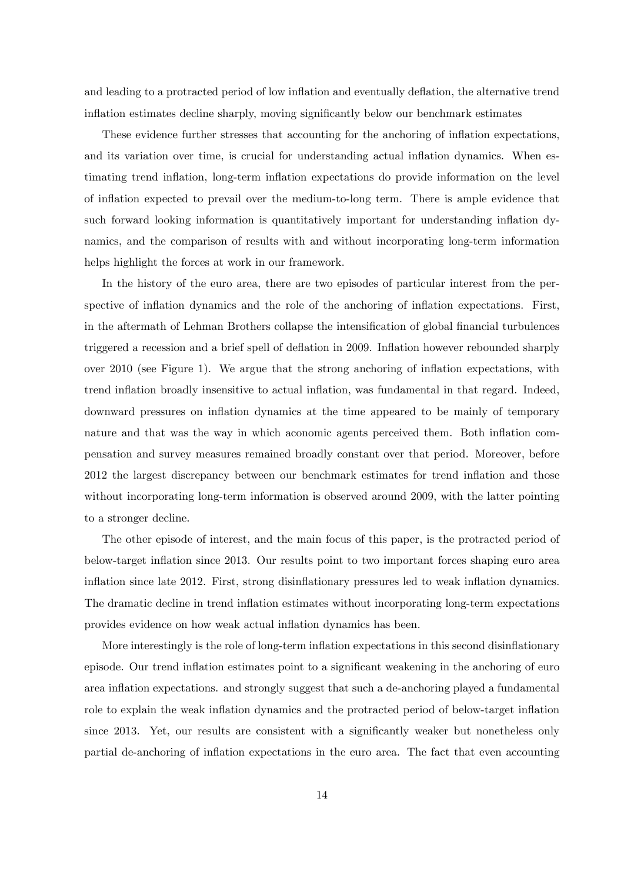and leading to a protracted period of low inflation and eventually deflation, the alternative trend inflation estimates decline sharply, moving significantly below our benchmark estimates

These evidence further stresses that accounting for the anchoring of ináation expectations, and its variation over time, is crucial for understanding actual inflation dynamics. When estimating trend inflation, long-term inflation expectations do provide information on the level of inflation expected to prevail over the medium-to-long term. There is ample evidence that such forward looking information is quantitatively important for understanding inflation dynamics, and the comparison of results with and without incorporating long-term information helps highlight the forces at work in our framework.

In the history of the euro area, there are two episodes of particular interest from the perspective of inflation dynamics and the role of the anchoring of inflation expectations. First, in the aftermath of Lehman Brothers collapse the intensification of global financial turbulences triggered a recession and a brief spell of deflation in 2009. Inflation however rebounded sharply over  $2010$  (see Figure 1). We argue that the strong anchoring of inflation expectations, with trend inflation broadly insensitive to actual inflation, was fundamental in that regard. Indeed, downward pressures on inflation dynamics at the time appeared to be mainly of temporary nature and that was the way in which aconomic agents perceived them. Both inflation compensation and survey measures remained broadly constant over that period. Moreover, before 2012 the largest discrepancy between our benchmark estimates for trend inflation and those without incorporating long-term information is observed around 2009, with the latter pointing to a stronger decline.

The other episode of interest, and the main focus of this paper, is the protracted period of below-target ináation since 2013. Our results point to two important forces shaping euro area inflation since late 2012. First, strong disinflationary pressures led to weak inflation dynamics. The dramatic decline in trend inflation estimates without incorporating long-term expectations provides evidence on how weak actual inflation dynamics has been.

More interestingly is the role of long-term inflation expectations in this second disinflationary episode. Our trend inflation estimates point to a significant weakening in the anchoring of euro area inflation expectations. and strongly suggest that such a de-anchoring played a fundamental role to explain the weak inflation dynamics and the protracted period of below-target inflation since 2013. Yet, our results are consistent with a significantly weaker but nonetheless only partial de-anchoring of inflation expectations in the euro area. The fact that even accounting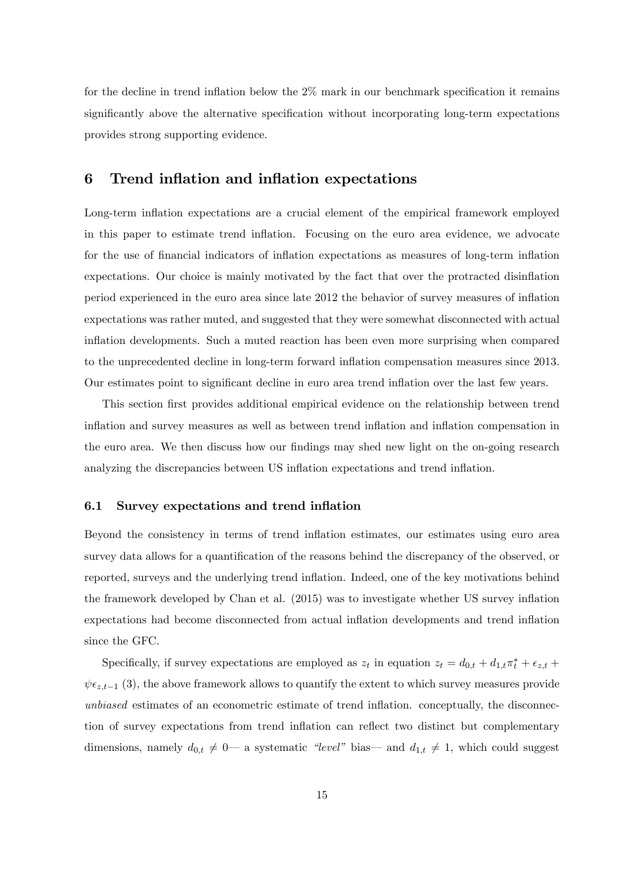for the decline in trend inflation below the  $2\%$  mark in our benchmark specification it remains significantly above the alternative specification without incorporating long-term expectations provides strong supporting evidence.

## 6 Trend inflation and inflation expectations

Long-term inflation expectations are a crucial element of the empirical framework employed in this paper to estimate trend inflation. Focusing on the euro area evidence, we advocate for the use of financial indicators of inflation expectations as measures of long-term inflation expectations. Our choice is mainly motivated by the fact that over the protracted disinflation period experienced in the euro area since late 2012 the behavior of survey measures of ináation expectations was rather muted, and suggested that they were somewhat disconnected with actual inflation developments. Such a muted reaction has been even more surprising when compared to the unprecedented decline in long-term forward ináation compensation measures since 2013. Our estimates point to significant decline in euro area trend inflation over the last few years.

This section first provides additional empirical evidence on the relationship between trend inflation and survey measures as well as between trend inflation and inflation compensation in the euro area. We then discuss how our findings may shed new light on the on-going research analyzing the discrepancies between US inflation expectations and trend inflation.

## 6.1 Survey expectations and trend inflation

Beyond the consistency in terms of trend ináation estimates, our estimates using euro area survey data allows for a quantification of the reasons behind the discrepancy of the observed, or reported, surveys and the underlying trend ináation. Indeed, one of the key motivations behind the framework developed by Chan et al.  $(2015)$  was to investigate whether US survey inflation expectations had become disconnected from actual inflation developments and trend inflation since the GFC.

Specifically, if survey expectations are employed as  $z_t$  in equation  $z_t = d_{0,t} + d_{1,t}\pi_t^* + \epsilon_{z,t} +$  $\psi \epsilon_{z,t-1}$  (3), the above framework allows to quantify the extent to which survey measures provide unbiased estimates of an econometric estimate of trend inflation. conceptually, the disconnection of survey expectations from trend inflation can reflect two distinct but complementary dimensions, namely  $d_{0,t} \neq 0$  a systematic "level" bias and  $d_{1,t} \neq 1$ , which could suggest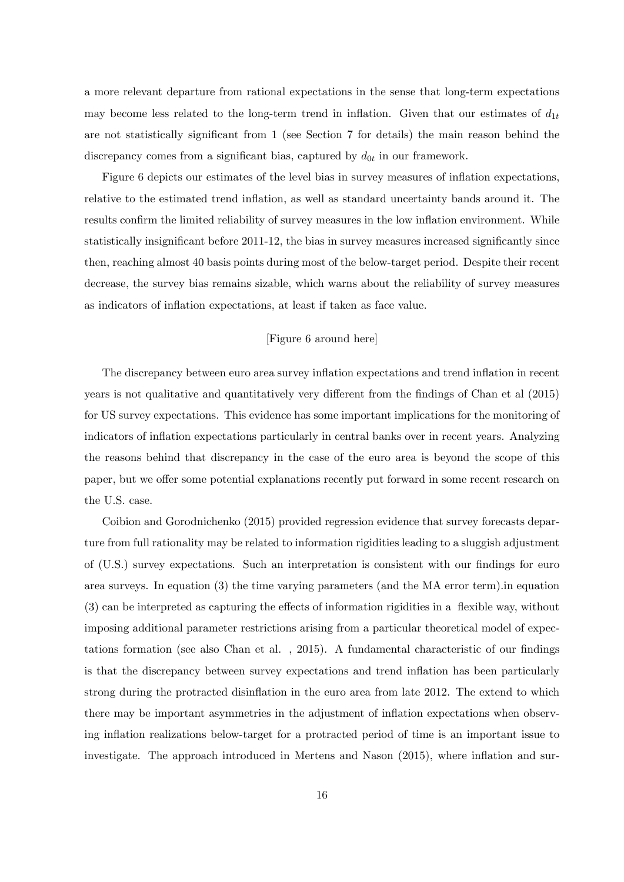a more relevant departure from rational expectations in the sense that long-term expectations may become less related to the long-term trend in inflation. Given that our estimates of  $d_{1t}$ are not statistically significant from 1 (see Section 7 for details) the main reason behind the discrepancy comes from a significant bias, captured by  $d_{0t}$  in our framework.

Figure 6 depicts our estimates of the level bias in survey measures of inflation expectations, relative to the estimated trend inflation, as well as standard uncertainty bands around it. The results confirm the limited reliability of survey measures in the low inflation environment. While statistically insignificant before 2011-12, the bias in survey measures increased significantly since then, reaching almost 40 basis points during most of the below-target period. Despite their recent decrease, the survey bias remains sizable, which warns about the reliability of survey measures as indicators of inflation expectations, at least if taken as face value.

## [Figure 6 around here]

The discrepancy between euro area survey inflation expectations and trend inflation in recent years is not qualitative and quantitatively very different from the findings of Chan et al (2015) for US survey expectations. This evidence has some important implications for the monitoring of indicators of inflation expectations particularly in central banks over in recent years. Analyzing the reasons behind that discrepancy in the case of the euro area is beyond the scope of this paper, but we offer some potential explanations recently put forward in some recent research on the U.S. case.

Coibion and Gorodnichenko (2015) provided regression evidence that survey forecasts departure from full rationality may be related to information rigidities leading to a sluggish adjustment of (U.S.) survey expectations. Such an interpretation is consistent with our findings for euro area surveys. In equation (3) the time varying parameters (and the MA error term).in equation  $(3)$  can be interpreted as capturing the effects of information rigidities in a flexible way, without imposing additional parameter restrictions arising from a particular theoretical model of expectations formation (see also Chan et al., 2015). A fundamental characteristic of our findings is that the discrepancy between survey expectations and trend ináation has been particularly strong during the protracted disinflation in the euro area from late 2012. The extend to which there may be important asymmetries in the adjustment of ináation expectations when observing inflation realizations below-target for a protracted period of time is an important issue to investigate. The approach introduced in Mertens and Nason (2015), where inflation and sur-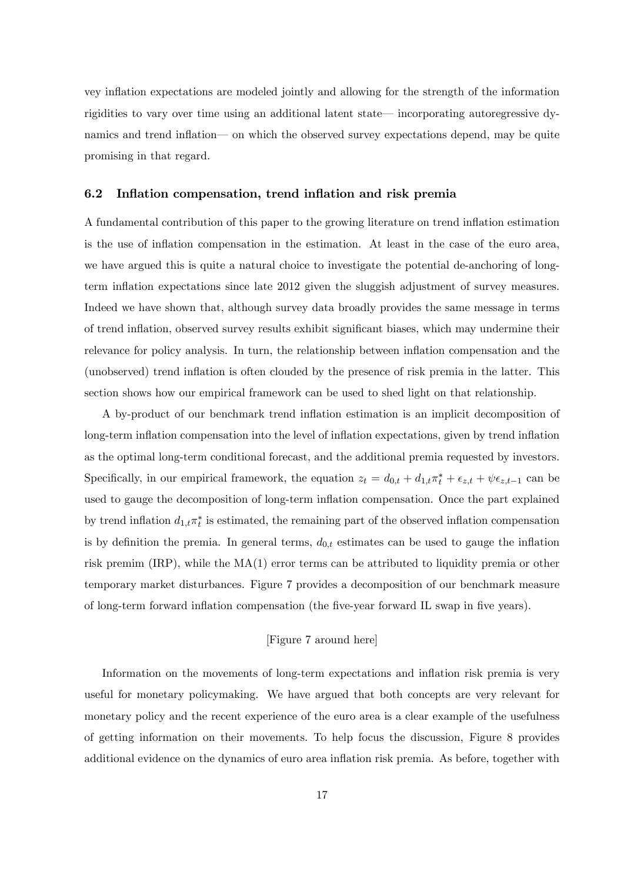vey ináation expectations are modeled jointly and allowing for the strength of the information rigidities to vary over time using an additional latent state—incorporating autoregressive dynamics and trend inflation— on which the observed survey expectations depend, may be quite promising in that regard.

### 6.2 Inflation compensation, trend inflation and risk premia

A fundamental contribution of this paper to the growing literature on trend ináation estimation is the use of inflation compensation in the estimation. At least in the case of the euro area, we have argued this is quite a natural choice to investigate the potential de-anchoring of longterm ináation expectations since late 2012 given the sluggish adjustment of survey measures. Indeed we have shown that, although survey data broadly provides the same message in terms of trend inflation, observed survey results exhibit significant biases, which may undermine their relevance for policy analysis. In turn, the relationship between inflation compensation and the (unobserved) trend inflation is often clouded by the presence of risk premia in the latter. This section shows how our empirical framework can be used to shed light on that relationship.

A by-product of our benchmark trend ináation estimation is an implicit decomposition of long-term inflation compensation into the level of inflation expectations, given by trend inflation as the optimal long-term conditional forecast, and the additional premia requested by investors. Specifically, in our empirical framework, the equation  $z_t = d_{0,t} + d_{1,t}\pi_t^* + \epsilon_{z,t} + \psi \epsilon_{z,t-1}$  can be used to gauge the decomposition of long-term inflation compensation. Once the part explained by trend inflation  $d_{1,t}\pi_t^*$  is estimated, the remaining part of the observed inflation compensation is by definition the premia. In general terms,  $d_{0,t}$  estimates can be used to gauge the inflation risk premim (IRP), while the MA(1) error terms can be attributed to liquidity premia or other temporary market disturbances. Figure 7 provides a decomposition of our benchmark measure of long-term forward ináation compensation (the Öve-year forward IL swap in Öve years).

## [Figure 7 around here]

Information on the movements of long-term expectations and inflation risk premia is very useful for monetary policymaking. We have argued that both concepts are very relevant for monetary policy and the recent experience of the euro area is a clear example of the usefulness of getting information on their movements. To help focus the discussion, Figure 8 provides additional evidence on the dynamics of euro area ináation risk premia. As before, together with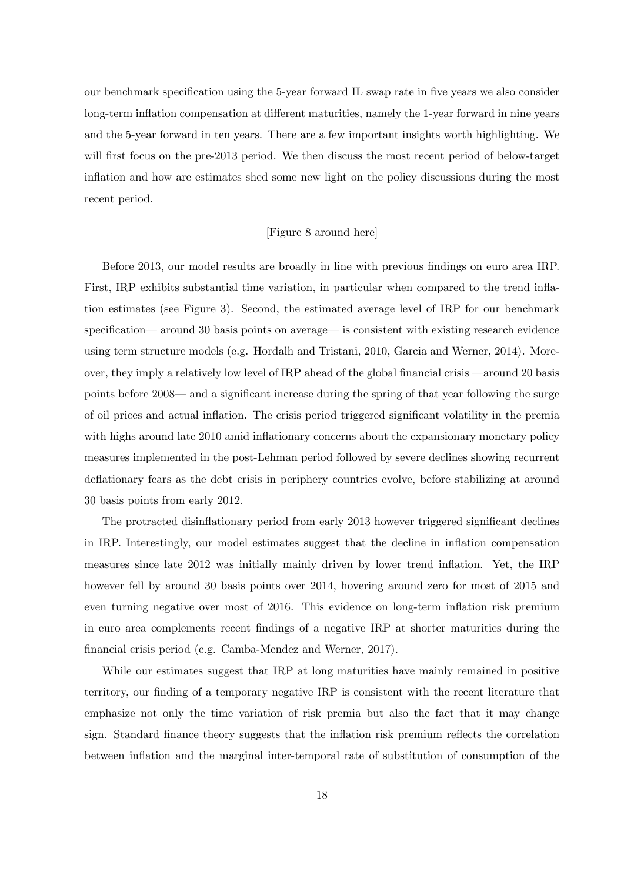our benchmark specification using the 5-year forward IL swap rate in five years we also consider long-term inflation compensation at different maturities, namely the 1-year forward in nine years and the 5-year forward in ten years. There are a few important insights worth highlighting. We will first focus on the pre-2013 period. We then discuss the most recent period of below-target inflation and how are estimates shed some new light on the policy discussions during the most recent period.

#### [Figure 8 around here]

Before 2013, our model results are broadly in line with previous findings on euro area IRP. First, IRP exhibits substantial time variation, in particular when compared to the trend ináation estimates (see Figure 3). Second, the estimated average level of IRP for our benchmark specification—around 30 basis points on average— is consistent with existing research evidence using term structure models (e.g. Hordalh and Tristani, 2010, Garcia and Werner, 2014). Moreover, they imply a relatively low level of IRP ahead of the global financial crisis —around 20 basis points before 2008— and a significant increase during the spring of that year following the surge of oil prices and actual inflation. The crisis period triggered significant volatility in the premia with highs around late 2010 amid inflationary concerns about the expansionary monetary policy measures implemented in the post-Lehman period followed by severe declines showing recurrent deflationary fears as the debt crisis in periphery countries evolve, before stabilizing at around 30 basis points from early 2012.

The protracted disinflationary period from early 2013 however triggered significant declines in IRP. Interestingly, our model estimates suggest that the decline in inflation compensation measures since late 2012 was initially mainly driven by lower trend ináation. Yet, the IRP however fell by around 30 basis points over 2014, hovering around zero for most of 2015 and even turning negative over most of 2016. This evidence on long-term inflation risk premium in euro area complements recent Öndings of a negative IRP at shorter maturities during the financial crisis period (e.g. Camba-Mendez and Werner, 2017).

While our estimates suggest that IRP at long maturities have mainly remained in positive territory, our finding of a temporary negative IRP is consistent with the recent literature that emphasize not only the time variation of risk premia but also the fact that it may change sign. Standard finance theory suggests that the inflation risk premium reflects the correlation between inflation and the marginal inter-temporal rate of substitution of consumption of the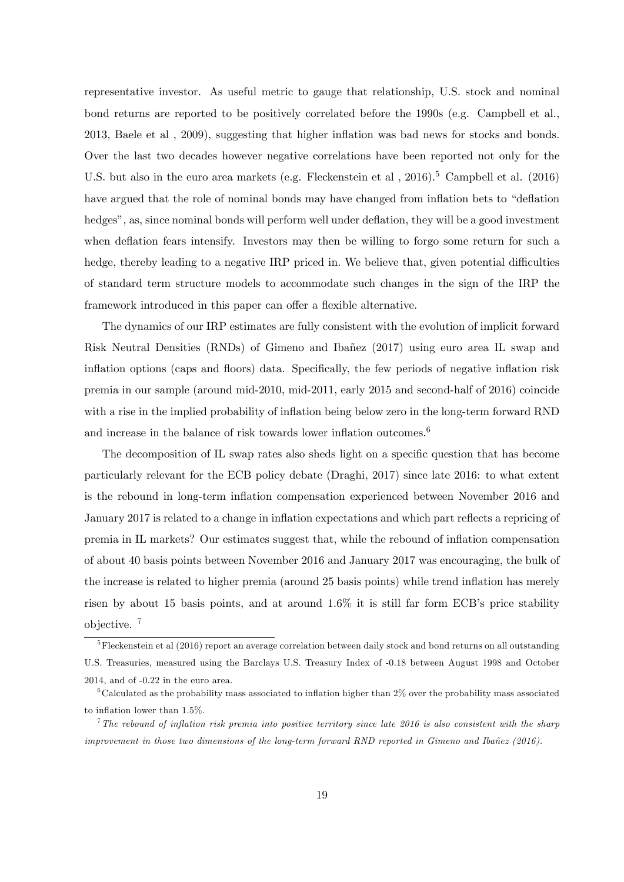representative investor. As useful metric to gauge that relationship, U.S. stock and nominal bond returns are reported to be positively correlated before the 1990s (e.g. Campbell et al., 2013, Baele et al , 2009), suggesting that higher ináation was bad news for stocks and bonds. Over the last two decades however negative correlations have been reported not only for the U.S. but also in the euro area markets (e.g. Fleckenstein et al.,  $2016$ ).<sup>5</sup> Campbell et al. (2016) have argued that the role of nominal bonds may have changed from inflation bets to "deflation hedges", as, since nominal bonds will perform well under deflation, they will be a good investment when deflation fears intensify. Investors may then be willing to forgo some return for such a hedge, thereby leading to a negative IRP priced in. We believe that, given potential difficulties of standard term structure models to accommodate such changes in the sign of the IRP the framework introduced in this paper can offer a flexible alternative.

The dynamics of our IRP estimates are fully consistent with the evolution of implicit forward Risk Neutral Densities (RNDs) of Gimeno and Ibañez (2017) using euro area IL swap and inflation options (caps and floors) data. Specifically, the few periods of negative inflation risk premia in our sample (around mid-2010, mid-2011, early 2015 and second-half of 2016) coincide with a rise in the implied probability of inflation being below zero in the long-term forward RND and increase in the balance of risk towards lower inflation outcomes.<sup>6</sup>

The decomposition of IL swap rates also sheds light on a specific question that has become particularly relevant for the ECB policy debate (Draghi, 2017) since late 2016: to what extent is the rebound in long-term ináation compensation experienced between November 2016 and January 2017 is related to a change in inflation expectations and which part reflects a repricing of premia in IL markets? Our estimates suggest that, while the rebound of ináation compensation of about 40 basis points between November 2016 and January 2017 was encouraging, the bulk of the increase is related to higher premia (around 25 basis points) while trend ináation has merely risen by about 15 basis points, and at around  $1.6\%$  it is still far form ECB's price stability objective. <sup>7</sup>

 ${}^{5}$ Fleckenstein et al (2016) report an average correlation between daily stock and bond returns on all outstanding U.S. Treasuries, measured using the Barclays U.S. Treasury Index of -0.18 between August 1998 and October 2014, and of -0.22 in the euro area.

 $6C$ dculated as the probability mass associated to inflation higher than 2% over the probability mass associated to inflation lower than  $1.5\%$ .

<sup>&</sup>lt;sup>7</sup>The rebound of inflation risk premia into positive territory since late 2016 is also consistent with the sharp improvement in those two dimensions of the long-term forward RND reported in Gimeno and Ibañez (2016).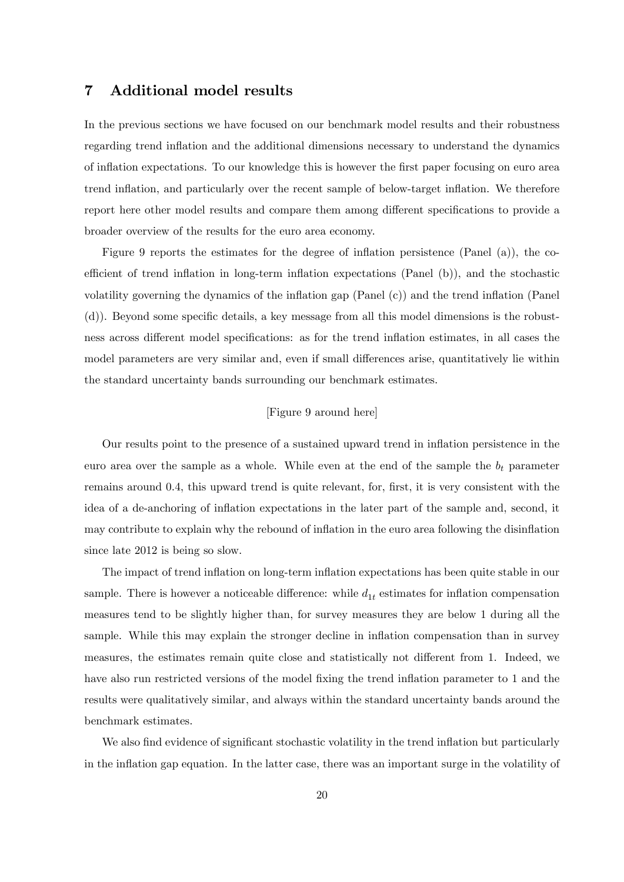## 7 Additional model results

In the previous sections we have focused on our benchmark model results and their robustness regarding trend ináation and the additional dimensions necessary to understand the dynamics of ináation expectations. To our knowledge this is however the Örst paper focusing on euro area trend inflation, and particularly over the recent sample of below-target inflation. We therefore report here other model results and compare them among different specifications to provide a broader overview of the results for the euro area economy.

Figure 9 reports the estimates for the degree of inflation persistence (Panel (a)), the coefficient of trend inflation in long-term inflation expectations (Panel  $(b)$ ), and the stochastic volatility governing the dynamics of the inflation gap (Panel  $(c)$ ) and the trend inflation (Panel  $(d)$ ). Beyond some specific details, a key message from all this model dimensions is the robustness across different model specifications: as for the trend inflation estimates, in all cases the model parameters are very similar and, even if small differences arise, quantitatively lie within the standard uncertainty bands surrounding our benchmark estimates.

## [Figure 9 around here]

Our results point to the presence of a sustained upward trend in ináation persistence in the euro area over the sample as a whole. While even at the end of the sample the  $b_t$  parameter remains around 0.4, this upward trend is quite relevant, for, first, it is very consistent with the idea of a de-anchoring of inflation expectations in the later part of the sample and, second, it may contribute to explain why the rebound of inflation in the euro area following the disinflation since late 2012 is being so slow.

The impact of trend inflation on long-term inflation expectations has been quite stable in our sample. There is however a noticeable difference: while  $d_{1t}$  estimates for inflation compensation measures tend to be slightly higher than, for survey measures they are below 1 during all the sample. While this may explain the stronger decline in inflation compensation than in survey measures, the estimates remain quite close and statistically not different from 1. Indeed, we have also run restricted versions of the model fixing the trend inflation parameter to 1 and the results were qualitatively similar, and always within the standard uncertainty bands around the benchmark estimates.

We also find evidence of significant stochastic volatility in the trend inflation but particularly in the inflation gap equation. In the latter case, there was an important surge in the volatility of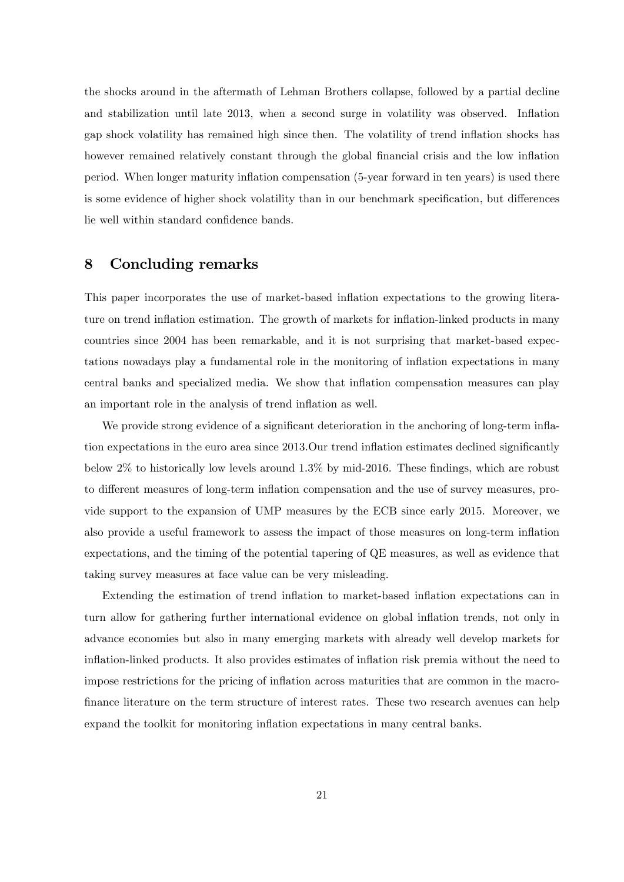the shocks around in the aftermath of Lehman Brothers collapse, followed by a partial decline and stabilization until late 2013, when a second surge in volatility was observed. Inflation gap shock volatility has remained high since then. The volatility of trend ináation shocks has however remained relatively constant through the global financial crisis and the low inflation period. When longer maturity inflation compensation (5-year forward in ten years) is used there is some evidence of higher shock volatility than in our benchmark specification, but differences lie well within standard confidence bands.

## 8 Concluding remarks

This paper incorporates the use of market-based inflation expectations to the growing literature on trend inflation estimation. The growth of markets for inflation-linked products in many countries since 2004 has been remarkable, and it is not surprising that market-based expectations nowadays play a fundamental role in the monitoring of inflation expectations in many central banks and specialized media. We show that inflation compensation measures can play an important role in the analysis of trend inflation as well.

We provide strong evidence of a significant deterioration in the anchoring of long-term inflation expectations in the euro area since 2013.Our trend inflation estimates declined significantly below  $2\%$  to historically low levels around  $1.3\%$  by mid-2016. These findings, which are robust to different measures of long-term inflation compensation and the use of survey measures, provide support to the expansion of UMP measures by the ECB since early 2015. Moreover, we also provide a useful framework to assess the impact of those measures on long-term inflation expectations, and the timing of the potential tapering of QE measures, as well as evidence that taking survey measures at face value can be very misleading.

Extending the estimation of trend inflation to market-based inflation expectations can in turn allow for gathering further international evidence on global inflation trends, not only in advance economies but also in many emerging markets with already well develop markets for inflation-linked products. It also provides estimates of inflation risk premia without the need to impose restrictions for the pricing of inflation across maturities that are common in the macrofinance literature on the term structure of interest rates. These two research avenues can help expand the toolkit for monitoring inflation expectations in many central banks.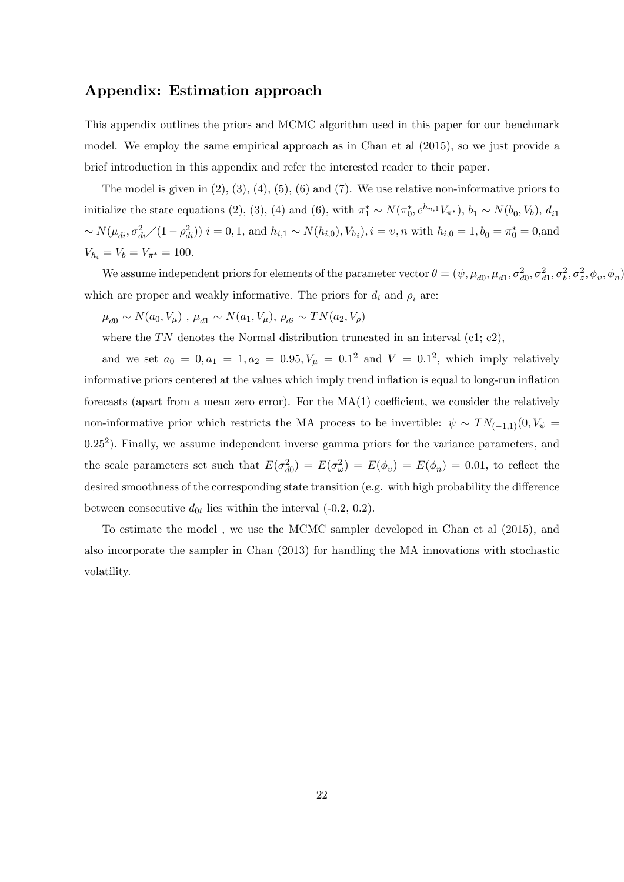# Appendix: Estimation approach

This appendix outlines the priors and MCMC algorithm used in this paper for our benchmark model. We employ the same empirical approach as in Chan et al (2015), so we just provide a brief introduction in this appendix and refer the interested reader to their paper.

The model is given in  $(2)$ ,  $(3)$ ,  $(4)$ ,  $(5)$ ,  $(6)$  and  $(7)$ . We use relative non-informative priors to initialize the state equations (2), (3), (4) and (6), with  $\pi_1^* \sim N(\pi_0^*, e^{h_{n,1}} V_{\pi^*})$ ,  $b_1 \sim N(b_0, V_b)$ ,  $d_{i1}$  $\sim N(\mu_{di}, \sigma_{di}^2/(1-\rho_{di}^2))$   $i = 0, 1$ , and  $h_{i,1} \sim N(h_{i,0}), V_{h_i}$ ,  $i = v, n$  with  $h_{i,0} = 1, b_0 = \pi_0^* = 0$ , and  $V_{h_i} = V_b = V_{\pi^*} = 100.$ 

We assume independent priors for elements of the parameter vector  $\theta = (\psi, \mu_{d0}, \mu_{d1}, \sigma_{d0}^2, \sigma_{d1}^2, \sigma_b^2, \sigma_z^2, \phi_v, \phi_n)$ which are proper and weakly informative. The priors for  $d_i$  and  $\rho_i$  are:

 $\mu_{d0} \sim N(a_0, V_\mu)$  ,  $\mu_{d1} \sim N(a_1, V_\mu),$   $\rho_{di} \sim TN(a_2, V_\rho)$ 

where the TN denotes the Normal distribution truncated in an interval (c1; c2),

and we set  $a_0 = 0, a_1 = 1, a_2 = 0.95, V_\mu = 0.1^2$  and  $V = 0.1^2$ , which imply relatively informative priors centered at the values which imply trend inflation is equal to long-run inflation forecasts (apart from a mean zero error). For the  $MA(1)$  coefficient, we consider the relatively non-informative prior which restricts the MA process to be invertible:  $\psi \sim TN_{(-1,1)}(0, V_{\psi} =$ 0.25<sup>2</sup>). Finally, we assume independent inverse gamma priors for the variance parameters, and the scale parameters set such that  $E(\sigma_{d0}^2) = E(\sigma_{\omega}^2) = E(\phi_{\nu}) = E(\phi_n) = 0.01$ , to reflect the desired smoothness of the corresponding state transition (e.g. with high probability the difference between consecutive  $d_{0t}$  lies within the interval (-0.2, 0.2).

To estimate the model , we use the MCMC sampler developed in Chan et al (2015), and also incorporate the sampler in Chan (2013) for handling the MA innovations with stochastic volatility.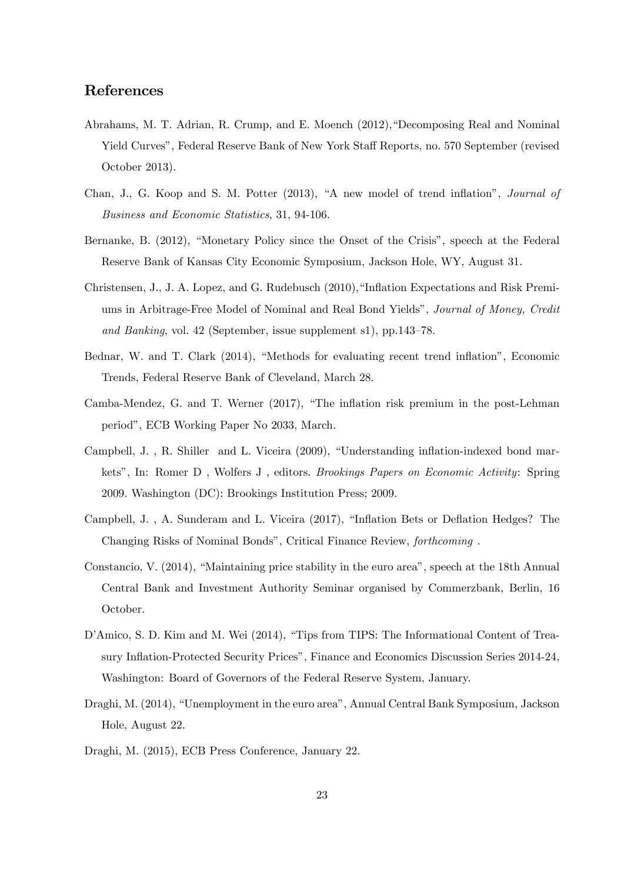# References

- Abrahams, M. T. Adrian, R. Crump, and E. Moench (2012), "Decomposing Real and Nominal Yield Curves", Federal Reserve Bank of New York Staff Reports, no. 570 September (revised October 2013).
- Chan, J., G. Koop and S. M. Potter (2013), "A new model of trend inflation", *Journal of* Business and Economic Statistics, 31, 94-106.
- Bernanke, B. (2012), "Monetary Policy since the Onset of the Crisis", speech at the Federal Reserve Bank of Kansas City Economic Symposium, Jackson Hole, WY, August 31.
- Christensen, J., J. A. Lopez, and G. Rudebusch (2010), "Inflation Expectations and Risk Premiums in Arbitrage-Free Model of Nominal and Real Bond Yields", Journal of Money, Credit and Banking, vol. 42 (September, issue supplement s1), pp.  $143-78$ .
- Bednar, W. and T. Clark (2014), "Methods for evaluating recent trend inflation", Economic Trends, Federal Reserve Bank of Cleveland, March 28.
- Camba-Mendez, G. and T. Werner (2017), "The inflation risk premium in the post-Lehman periodî, ECB Working Paper No 2033, March.
- Campbell, J., R. Shiller and L. Viceira (2009), "Understanding inflation-indexed bond markets", In: Romer D, Wolfers J, editors. *Brookings Papers on Economic Activity*: Spring 2009. Washington (DC): Brookings Institution Press; 2009.
- Campbell, J., A. Sunderam and L. Viceira (2017), "Inflation Bets or Deflation Hedges? The Changing Risks of Nominal Bonds", Critical Finance Review, forthcoming.
- Constancio, V. (2014), "Maintaining price stability in the euro area", speech at the 18th Annual Central Bank and Investment Authority Seminar organised by Commerzbank, Berlin, 16 October.
- D'Amico, S. D. Kim and M. Wei (2014), "Tips from TIPS: The Informational Content of Treasury Inflation-Protected Security Prices", Finance and Economics Discussion Series 2014-24, Washington: Board of Governors of the Federal Reserve System, January.
- Draghi, M. (2014), "Unemployment in the euro area", Annual Central Bank Symposium, Jackson Hole, August 22.
- Draghi, M. (2015), ECB Press Conference, January 22.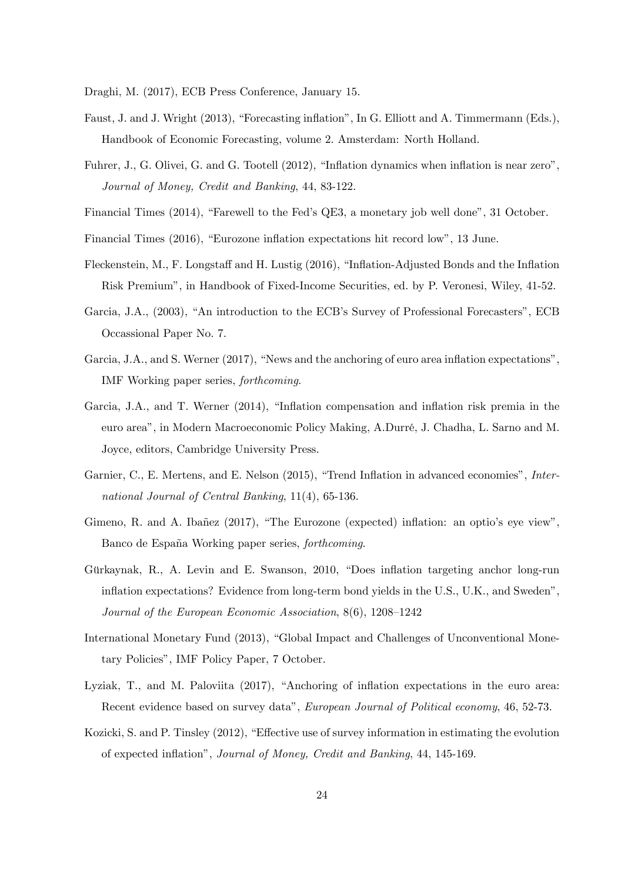Draghi, M. (2017), ECB Press Conference, January 15.

- Faust, J. and J. Wright (2013), "Forecasting inflation", In G. Elliott and A. Timmermann (Eds.), Handbook of Economic Forecasting, volume 2. Amsterdam: North Holland.
- Fuhrer, J., G. Olivei, G. and G. Tootell (2012), "Inflation dynamics when inflation is near zero", Journal of Money, Credit and Banking, 44, 83-122.
- Financial Times (2014), "Farewell to the Fed's QE3, a monetary job well done", 31 October.
- Financial Times (2016), "Eurozone inflation expectations hit record low", 13 June.
- Fleckenstein, M., F. Longstaff and H. Lustig (2016), "Inflation-Adjusted Bonds and the Inflation Risk Premium", in Handbook of Fixed-Income Securities, ed. by P. Veronesi, Wiley, 41-52.
- Garcia, J.A., (2003), "An introduction to the ECB's Survey of Professional Forecasters", ECB Occassional Paper No. 7.
- Garcia, J.A., and S. Werner  $(2017)$ , "News and the anchoring of euro area inflation expectations", IMF Working paper series, forthcoming.
- Garcia, J.A., and T. Werner (2014), "Inflation compensation and inflation risk premia in the euro area", in Modern Macroeconomic Policy Making, A.Durré, J. Chadha, L. Sarno and M. Joyce, editors, Cambridge University Press.
- Garnier, C., E. Mertens, and E. Nelson (2015), "Trend Inflation in advanced economies", International Journal of Central Banking, 11(4), 65-136.
- Gimeno, R. and A. Ibañez (2017), "The Eurozone (expected) inflation: an optio's eve view". Banco de España Working paper series, *forthcoming*.
- Gürkaynak, R., A. Levin and E. Swanson, 2010, "Does inflation targeting anchor long-run inflation expectations? Evidence from long-term bond yields in the U.S., U.K., and Sweden", Journal of the European Economic Association,  $8(6)$ ,  $1208-1242$
- International Monetary Fund (2013), "Global Impact and Challenges of Unconventional Monetary Policies", IMF Policy Paper, 7 October.
- Lyziak, T., and M. Paloviita (2017), "Anchoring of inflation expectations in the euro area: Recent evidence based on survey data", European Journal of Political economy, 46, 52-73.
- Kozicki, S. and P. Tinsley (2012), "Effective use of survey information in estimating the evolution of expected ináationî, Journal of Money, Credit and Banking, 44, 145-169.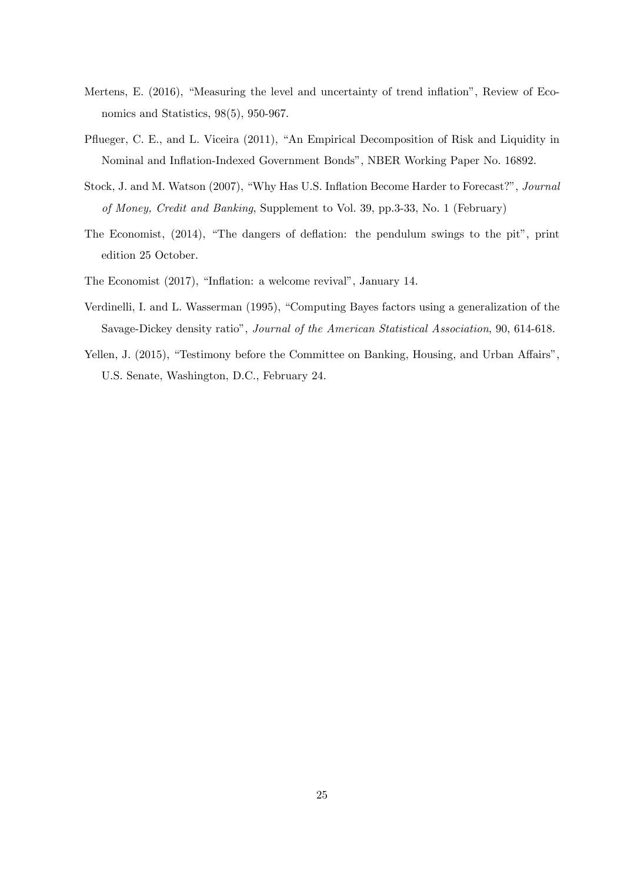- Mertens, E. (2016), "Measuring the level and uncertainty of trend inflation", Review of Economics and Statistics, 98(5), 950-967.
- Pflueger, C. E., and L. Viceira (2011), "An Empirical Decomposition of Risk and Liquidity in Nominal and Ináation-Indexed Government Bondsî, NBER Working Paper No. 16892.
- Stock, J. and M. Watson (2007), "Why Has U.S. Inflation Become Harder to Forecast?", Journal of Money, Credit and Banking, Supplement to Vol. 39, pp.3-33, No. 1 (February)
- The Economist, (2014), "The dangers of deflation: the pendulum swings to the pit", print edition 25 October.
- The Economist (2017), "Inflation: a welcome revival", January 14.
- Verdinelli, I. and L. Wasserman (1995), "Computing Bayes factors using a generalization of the Savage-Dickey density ratio", Journal of the American Statistical Association, 90, 614-618.
- Yellen, J. (2015), "Testimony before the Committee on Banking, Housing, and Urban Affairs", U.S. Senate, Washington, D.C., February 24.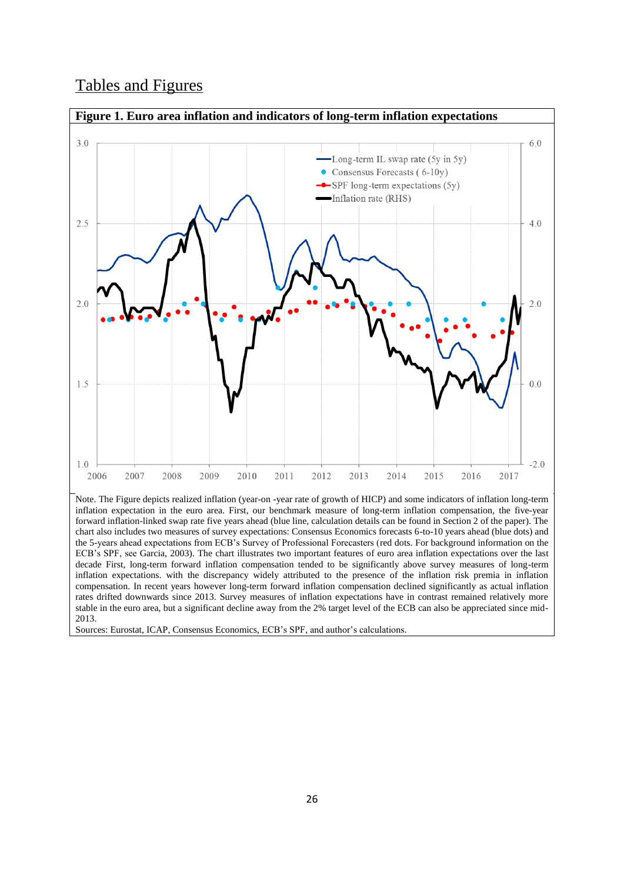# Tables and Figures



Note. The Figure depicts realized inflation (year-on -year rate of growth of HICP) and some indicators of inflation long-term inflation expectation in the euro area. First, our benchmark measure of long-term inflation compensation, the five-year forward inflation-linked swap rate five years ahead (blue line, calculation details can be found in Section 2 of the paper). The chart also includes two measures of survey expectations: Consensus Economics forecasts 6-to-10 years ahead (blue dots) and the 5-years ahead expectations from ECB's Survey of Professional Forecasters (red dots. For background information on the ECB's SPF, see Garcia, 2003). The chart illustrates two important features of euro area inflation expectations over the last decade First, long-term forward inflation compensation tended to be significantly above survey measures of long-term inflation expectations. with the discrepancy widely attributed to the presence of the inflation risk premia in inflation compensation. In recent years however long-term forward inflation compensation declined significantly as actual inflation rates drifted downwards since 2013. Survey measures of inflation expectations have in contrast remained relatively more stable in the euro area, but a significant decline away from the 2% target level of the ECB can also be appreciated since mid-2013.

Sources: Eurostat, ICAP, Consensus Economics, ECB's SPF, and author's calculations.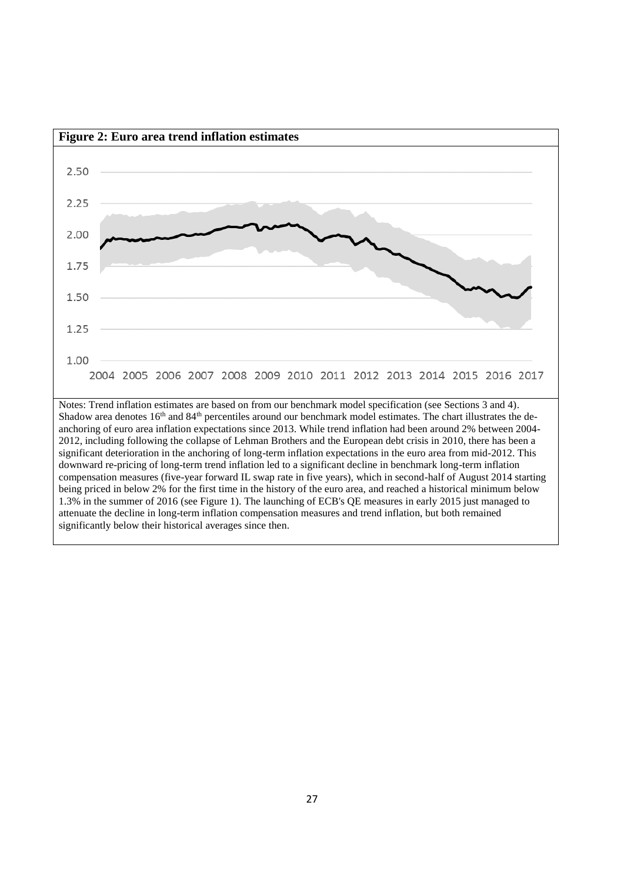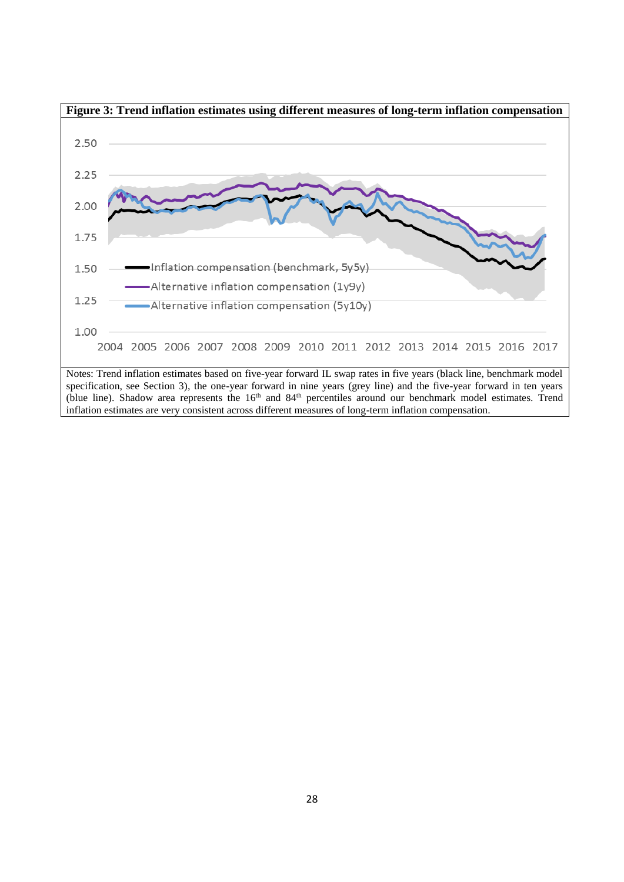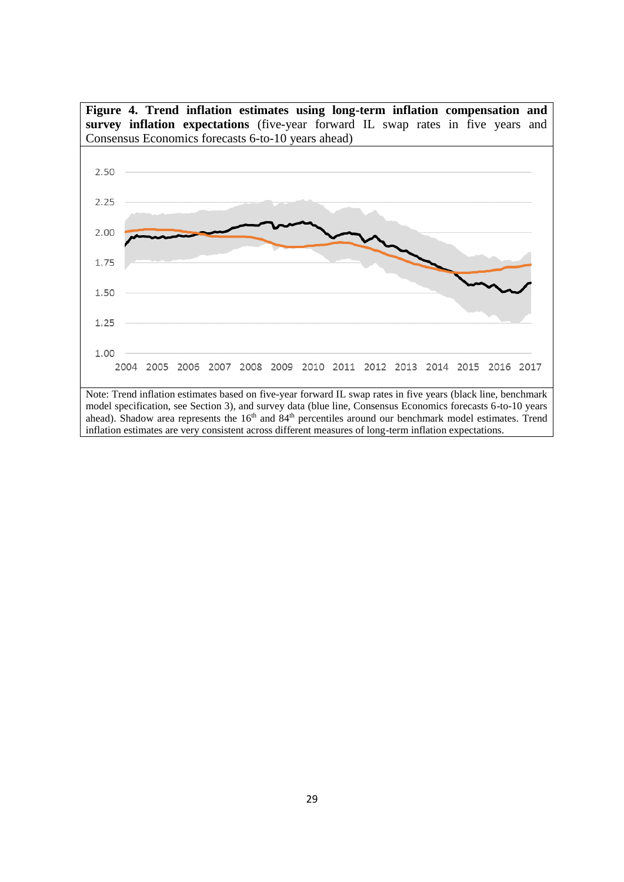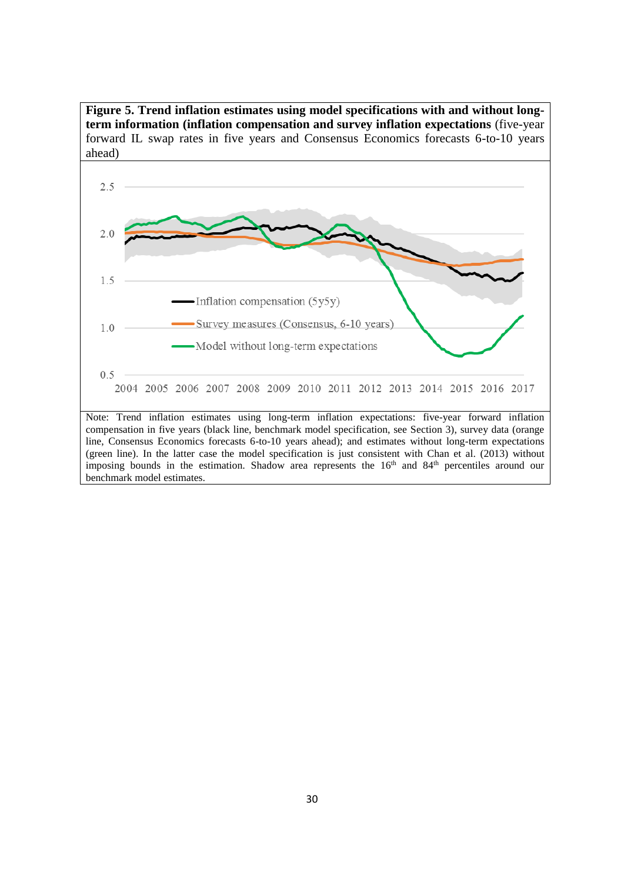**Figure 5. Trend inflation estimates using model specifications with and without longterm information (inflation compensation and survey inflation expectations** (five-year forward IL swap rates in five years and Consensus Economics forecasts 6-to-10 years ahead)



imposing bounds in the estimation. Shadow area represents the 16<sup>th</sup> and 84<sup>th</sup> percentiles around our

benchmark model estimates.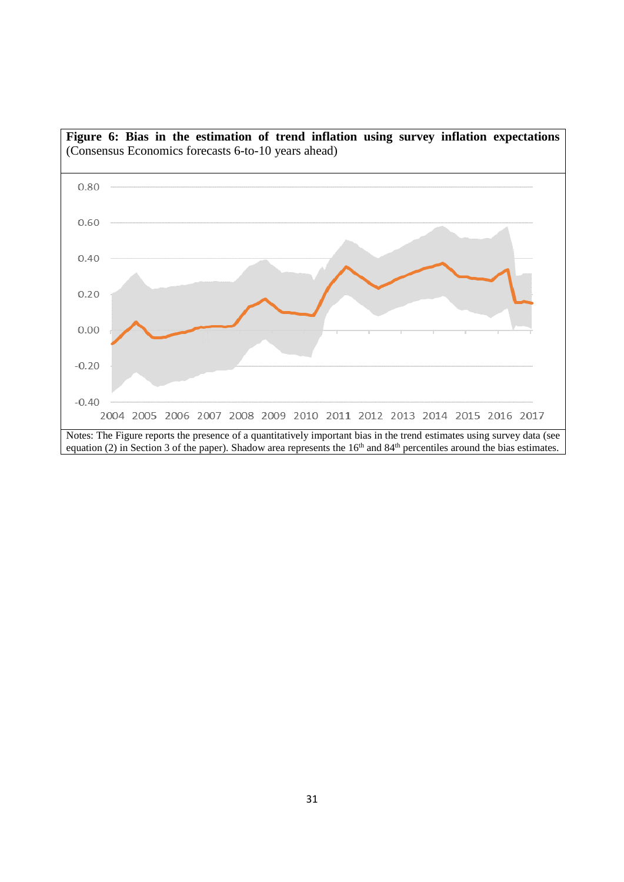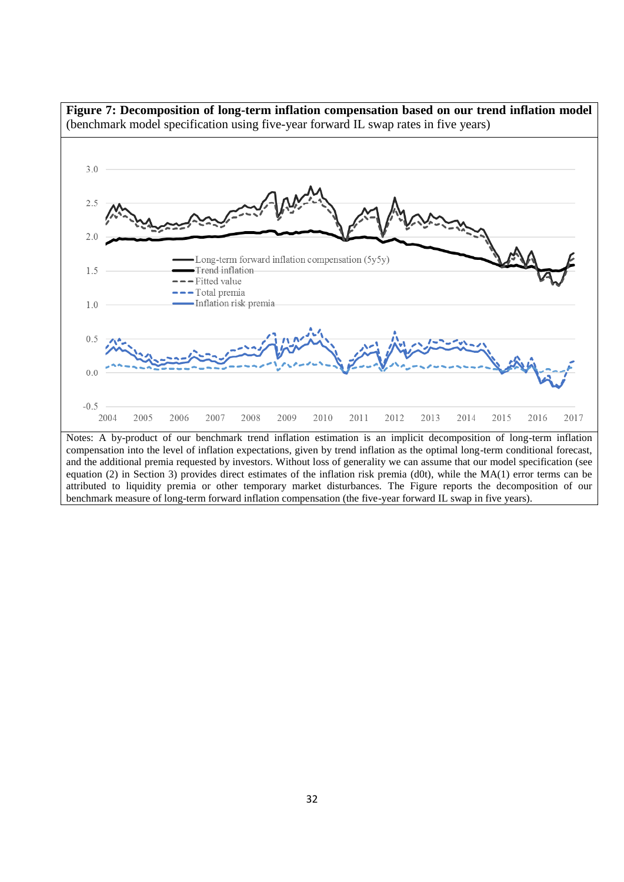

attributed to liquidity premia or other temporary market disturbances. The Figure reports the decomposition of our benchmark measure of long-term forward inflation compensation (the five-year forward IL swap in five years).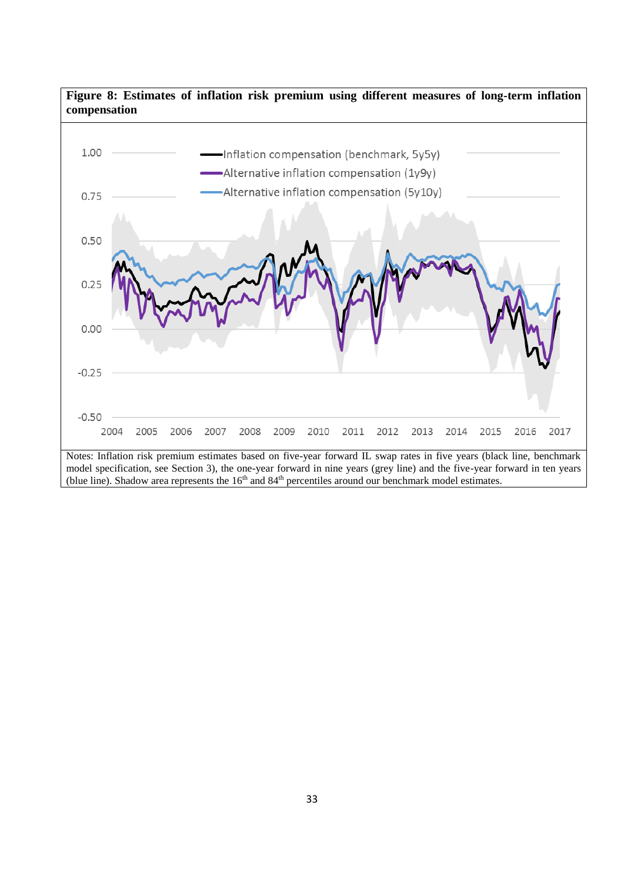# **Figure 8: Estimates of inflation risk premium using different measures of long-term inflation compensation**